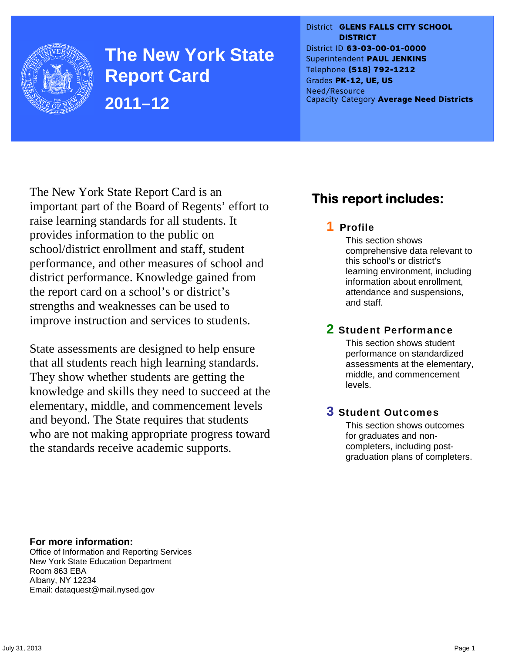

**The New York State Report Card 2011–12** 

District **GLENS FALLS CITY SCHOOL DISTRICT** District ID **63-03-00-01-0000** Superintendent **PAUL JENKINS** Telephone **(518) 792-1212** Grades **PK-12, UE, US** Need/Resource Capacity Category **Average Need Districts**

The New York State Report Card is an important part of the Board of Regents' effort to raise learning standards for all students. It provides information to the public on school/district enrollment and staff, student performance, and other measures of school and district performance. Knowledge gained from the report card on a school's or district's strengths and weaknesses can be used to improve instruction and services to students.

State assessments are designed to help ensure that all students reach high learning standards. They show whether students are getting the knowledge and skills they need to succeed at the elementary, middle, and commencement levels and beyond. The State requires that students who are not making appropriate progress toward the standards receive academic supports.

## **This report includes:**

## 1 Profile

This section shows comprehensive data relevant to this school's or district's learning environment, including information about enrollment, attendance and suspensions, and staff.

### 2 Student Performance

This section shows student performance on standardized assessments at the elementary, middle, and commencement levels.

### 3 Student Outcomes

This section shows outcomes for graduates and noncompleters, including postgraduation plans of completers.

**For more information:**  Office of Information and Reporting Services New York State Education Department Room 863 EBA Albany, NY 12234 Email: dataquest@mail.nysed.gov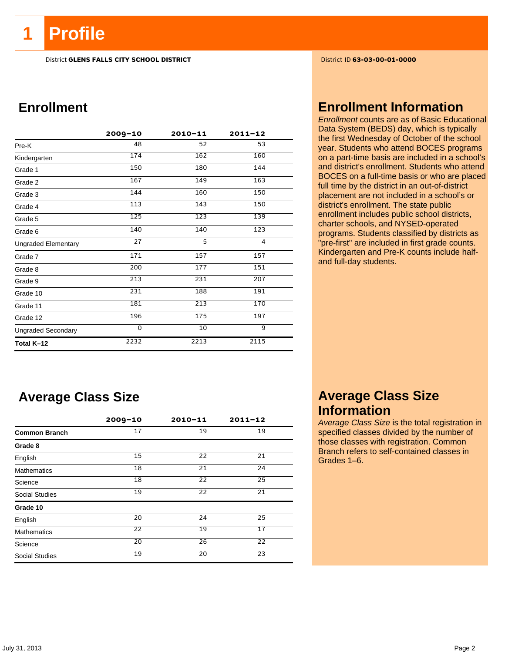## **1 Profile**

District **GLENS FALLS CITY SCHOOL DISTRICT** District ID **63-03-00-01-0000**

## **Enrollment**

|                            | $2009 - 10$ | $2010 - 11$ | $2011 - 12$    |  |
|----------------------------|-------------|-------------|----------------|--|
| Pre-K                      | 48          | 52          | 53             |  |
| Kindergarten               | 174         | 162         | 160            |  |
| Grade 1                    | 150         | 180         | 144            |  |
| Grade 2                    | 167         | 149         | 163            |  |
| Grade 3                    | 144         | 160         | 150            |  |
| Grade 4                    | 113         | 143         | 150            |  |
| Grade 5                    | 125         | 123         | 139            |  |
| Grade 6                    | 140         | 140         | 123            |  |
| <b>Ungraded Elementary</b> | 27          | 5           | $\overline{4}$ |  |
| Grade 7                    | 171         | 157         | 157            |  |
| Grade 8                    | 200         | 177         | 151            |  |
| Grade 9                    | 213         | 231         | 207            |  |
| Grade 10                   | 231         | 188         | 191            |  |
| Grade 11                   | 181         | 213         | 170            |  |
| Grade 12                   | 196         | 175         | 197            |  |
| <b>Ungraded Secondary</b>  | 0           | 10          | 9              |  |
| Total K-12                 | 2232        | 2213        | 2115           |  |

## **Average Class Size**

|                       | $2009 - 10$     | $2010 - 11$ | $2011 - 12$     |
|-----------------------|-----------------|-------------|-----------------|
| <b>Common Branch</b>  | 17              | 19          | 19              |
| Grade 8               |                 |             |                 |
| English               | 15              | 22          | 21              |
| <b>Mathematics</b>    | 18              | 21          | 24              |
| Science               | 18              | 22          | 25              |
| <b>Social Studies</b> | 19              | 22          | $\overline{21}$ |
| Grade 10              |                 |             |                 |
| English               | 20              | 24          | 25              |
| <b>Mathematics</b>    | $\overline{22}$ | 19          | $\overline{17}$ |
| Science               | 20              | 26          | 22              |
| <b>Social Studies</b> | 19              | 20          | 23              |

## **Enrollment Information**

*Enrollment* counts are as of Basic Educational Data System (BEDS) day, which is typically the first Wednesday of October of the school year. Students who attend BOCES programs on a part-time basis are included in a school's and district's enrollment. Students who attend BOCES on a full-time basis or who are placed full time by the district in an out-of-district placement are not included in a school's or district's enrollment. The state public enrollment includes public school districts, charter schools, and NYSED-operated programs. Students classified by districts as "pre-first" are included in first grade counts. Kindergarten and Pre-K counts include halfand full-day students.

## **Average Class Size Information**

*Average Class Size* is the total registration in specified classes divided by the number of those classes with registration. Common Branch refers to self-contained classes in Grades 1–6.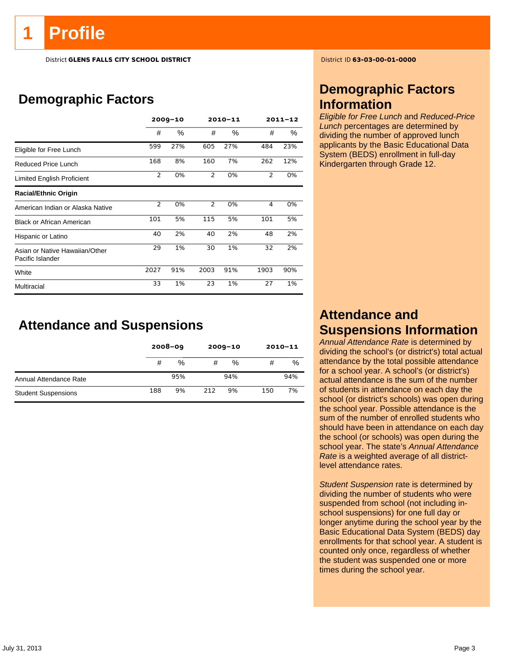# **Profile**

District **GLENS FALLS CITY SCHOOL DISTRICT** District ID **63-03-00-01-0000**

## **Demographic Factors**

|                                                    | $2009 - 10$    |      |                | 2010-11 |                | $2011 - 12$ |
|----------------------------------------------------|----------------|------|----------------|---------|----------------|-------------|
|                                                    | #              | $\%$ | #              | %       | #              | $\%$        |
| Eligible for Free Lunch                            | 599            | 27%  | 605            | 27%     | 484            | 23%         |
| Reduced Price Lunch                                | 168            | 8%   | 160            | 7%      | 262            | 12%         |
| Limited English Proficient                         | $\overline{2}$ | 0%   | $\overline{2}$ | 0%      | $\overline{2}$ | 0%          |
| <b>Racial/Ethnic Origin</b>                        |                |      |                |         |                |             |
| American Indian or Alaska Native                   | $\overline{2}$ | 0%   | $\overline{2}$ | 0%      | 4              | 0%          |
| <b>Black or African American</b>                   | 101            | 5%   | 115            | 5%      | 101            | 5%          |
| Hispanic or Latino                                 | 40             | 2%   | 40             | 2%      | 48             | 2%          |
| Asian or Native Hawaiian/Other<br>Pacific Islander | 29             | 1%   | 30             | 1%      | 32             | 2%          |
| White                                              | 2027           | 91%  | 2003           | 91%     | 1903           | 90%         |
| Multiracial                                        | 33             | 1%   | 23             | 1%      | 27             | 1%          |

## **Attendance and Suspensions**

|                            |     | $2008 - 09$ |     | $2009 - 10$ | $2010 - 11$ |     |
|----------------------------|-----|-------------|-----|-------------|-------------|-----|
|                            | #   | $\%$        | #   | %           | #           | %   |
| Annual Attendance Rate     |     | 95%         |     | 94%         |             | 94% |
| <b>Student Suspensions</b> | 188 | 9%          | 212 | 9%          | 150         | 7%  |

## **Demographic Factors Information**

*Eligible for Free Lunch* and *Reduced-Price Lunch* percentages are determined by dividing the number of approved lunch applicants by the Basic Educational Data System (BEDS) enrollment in full-day Kindergarten through Grade 12.

## **Attendance and Suspensions Information**

*Annual Attendance Rate* is determined by dividing the school's (or district's) total actual attendance by the total possible attendance for a school year. A school's (or district's) actual attendance is the sum of the number of students in attendance on each day the school (or district's schools) was open during the school year. Possible attendance is the sum of the number of enrolled students who should have been in attendance on each day the school (or schools) was open during the school year. The state's *Annual Attendance Rate* is a weighted average of all districtlevel attendance rates.

*Student Suspension* rate is determined by dividing the number of students who were suspended from school (not including inschool suspensions) for one full day or longer anytime during the school year by the Basic Educational Data System (BEDS) day enrollments for that school year. A student is counted only once, regardless of whether the student was suspended one or more times during the school year.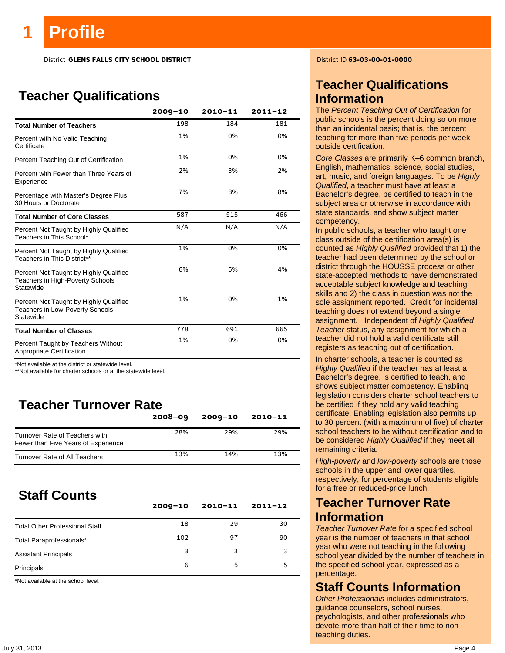District **GLENS FALLS CITY SCHOOL DISTRICT** District ID **63-03-00-01-0000**

## **Teacher Qualifications**

|                                                                                               | $2009 - 10$ | $2010 - 11$ | $2011 - 12$ |
|-----------------------------------------------------------------------------------------------|-------------|-------------|-------------|
| <b>Total Number of Teachers</b>                                                               | 198         | 184         | 181         |
| Percent with No Valid Teaching<br>Certificate                                                 | 1%          | 0%          | 0%          |
| Percent Teaching Out of Certification                                                         | 1%          | 0%          | 0%          |
| Percent with Fewer than Three Years of<br>Experience                                          | 2%          | 3%          | 2%          |
| Percentage with Master's Degree Plus<br>30 Hours or Doctorate                                 | 7%          | 8%          | 8%          |
| <b>Total Number of Core Classes</b>                                                           | 587         | 515         | 466         |
| Percent Not Taught by Highly Qualified<br>Teachers in This School*                            | N/A         | N/A         | N/A         |
| Percent Not Taught by Highly Qualified<br>Teachers in This District**                         | 1%          | 0%          | 0%          |
| Percent Not Taught by Highly Qualified<br>Teachers in High-Poverty Schools<br>Statewide       | 6%          | 5%          | 4%          |
| Percent Not Taught by Highly Qualified<br><b>Teachers in Low-Poverty Schools</b><br>Statewide | 1%          | 0%          | 1%          |
| <b>Total Number of Classes</b>                                                                | 778         | 691         | 665         |
| Percent Taught by Teachers Without<br>Appropriate Certification                               | 1%          | 0%          | 0%          |

\*Not available at the district or statewide level.

\*\*Not available for charter schools or at the statewide level.

## **Teacher Turnover Rate**

|                                                                       | $2008 - 09$ | $2009 - 10$ | $2010 - 11$ |
|-----------------------------------------------------------------------|-------------|-------------|-------------|
| Turnover Rate of Teachers with<br>Fewer than Five Years of Experience | 28%         | 29%         | 29%         |
| Turnover Rate of All Teachers                                         | 13%         | 14%         | 13%         |

## **Staff Counts**

|                                       | $2009 - 10$ | $2010 - 11$ | $2011 - 12$ |
|---------------------------------------|-------------|-------------|-------------|
| <b>Total Other Professional Staff</b> | 18          | 29          | 30          |
| Total Paraprofessionals*              | 102         | 97          | 90          |
| <b>Assistant Principals</b>           | ว           |             |             |
| Principals                            | 6           |             |             |

\*Not available at the school level.

## **Teacher Qualifications Information**

The *Percent Teaching Out of Certification* for public schools is the percent doing so on more than an incidental basis; that is, the percent teaching for more than five periods per week outside certification.

*Core Classes* are primarily K–6 common branch, English, mathematics, science, social studies, art, music, and foreign languages. To be *Highly Qualified*, a teacher must have at least a Bachelor's degree, be certified to teach in the subject area or otherwise in accordance with state standards, and show subject matter competency.

In public schools, a teacher who taught one class outside of the certification area(s) is counted as *Highly Qualified* provided that 1) the teacher had been determined by the school or district through the HOUSSE process or other state-accepted methods to have demonstrated acceptable subject knowledge and teaching skills and 2) the class in question was not the sole assignment reported. Credit for incidental teaching does not extend beyond a single assignment. Independent of *Highly Qualified Teacher* status, any assignment for which a teacher did not hold a valid certificate still registers as teaching out of certification.

In charter schools, a teacher is counted as *Highly Qualified* if the teacher has at least a Bachelor's degree, is certified to teach, and shows subject matter competency. Enabling legislation considers charter school teachers to be certified if they hold any valid teaching certificate. Enabling legislation also permits up to 30 percent (with a maximum of five) of charter school teachers to be without certification and to be considered *Highly Qualified* if they meet all remaining criteria.

*High-poverty* and *low-poverty* schools are those schools in the upper and lower quartiles, respectively, for percentage of students eligible for a free or reduced-price lunch.

## **Teacher Turnover Rate Information**

*Teacher Turnover Rate* for a specified school year is the number of teachers in that school year who were not teaching in the following school year divided by the number of teachers in the specified school year, expressed as a percentage.

## **Staff Counts Information**

*Other Professionals* includes administrators, guidance counselors, school nurses, psychologists, and other professionals who devote more than half of their time to nonteaching duties.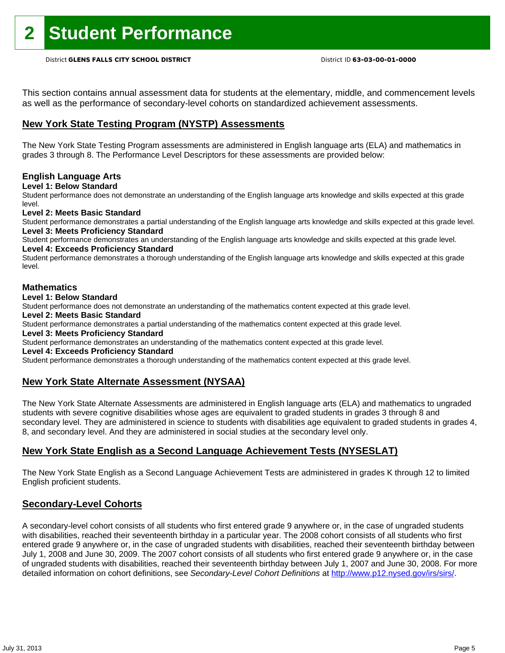This section contains annual assessment data for students at the elementary, middle, and commencement levels as well as the performance of secondary-level cohorts on standardized achievement assessments.

### **New York State Testing Program (NYSTP) Assessments**

The New York State Testing Program assessments are administered in English language arts (ELA) and mathematics in grades 3 through 8. The Performance Level Descriptors for these assessments are provided below:

### **English Language Arts**

**Level 1: Below Standard** 

Student performance does not demonstrate an understanding of the English language arts knowledge and skills expected at this grade level.

### **Level 2: Meets Basic Standard**

Student performance demonstrates a partial understanding of the English language arts knowledge and skills expected at this grade level. **Level 3: Meets Proficiency Standard** 

Student performance demonstrates an understanding of the English language arts knowledge and skills expected at this grade level. **Level 4: Exceeds Proficiency Standard** 

Student performance demonstrates a thorough understanding of the English language arts knowledge and skills expected at this grade level.

### **Mathematics**

**Level 1: Below Standard** 

Student performance does not demonstrate an understanding of the mathematics content expected at this grade level.

**Level 2: Meets Basic Standard** 

Student performance demonstrates a partial understanding of the mathematics content expected at this grade level.

### **Level 3: Meets Proficiency Standard**

Student performance demonstrates an understanding of the mathematics content expected at this grade level.

#### **Level 4: Exceeds Proficiency Standard**

Student performance demonstrates a thorough understanding of the mathematics content expected at this grade level.

### **New York State Alternate Assessment (NYSAA)**

The New York State Alternate Assessments are administered in English language arts (ELA) and mathematics to ungraded students with severe cognitive disabilities whose ages are equivalent to graded students in grades 3 through 8 and secondary level. They are administered in science to students with disabilities age equivalent to graded students in grades 4, 8, and secondary level. And they are administered in social studies at the secondary level only.

### **New York State English as a Second Language Achievement Tests (NYSESLAT)**

The New York State English as a Second Language Achievement Tests are administered in grades K through 12 to limited English proficient students.

### **Secondary-Level Cohorts**

A secondary-level cohort consists of all students who first entered grade 9 anywhere or, in the case of ungraded students with disabilities, reached their seventeenth birthday in a particular year. The 2008 cohort consists of all students who first entered grade 9 anywhere or, in the case of ungraded students with disabilities, reached their seventeenth birthday between July 1, 2008 and June 30, 2009. The 2007 cohort consists of all students who first entered grade 9 anywhere or, in the case of ungraded students with disabilities, reached their seventeenth birthday between July 1, 2007 and June 30, 2008. For more detailed information on cohort definitions, see *Secondary-Level Cohort Definitions* at http://www.p12.nysed.gov/irs/sirs/.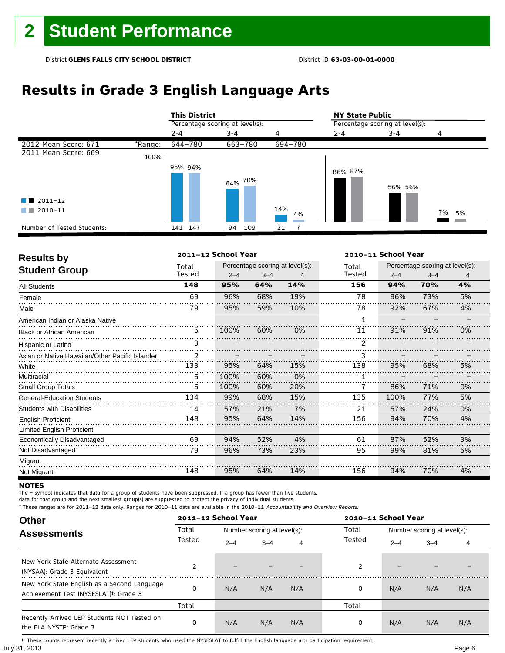# **Results in Grade 3 English Language Arts**

|                            |         | <b>This District</b>            |           |           | <b>NY State Public</b>          |         |          |  |
|----------------------------|---------|---------------------------------|-----------|-----------|---------------------------------|---------|----------|--|
|                            |         | Percentage scoring at level(s): |           |           | Percentage scoring at level(s): |         |          |  |
|                            |         | $2 - 4$                         | $3 - 4$   | 4         | $2 - 4$                         | 3-4     | 4        |  |
| 2012 Mean Score: 671       | *Range: | 644-780                         | 663-780   | 694-780   |                                 |         |          |  |
| 2011 Mean Score: 669       | 100%    |                                 |           |           |                                 |         |          |  |
|                            |         | 95% 94%                         | 64% 70%   |           | 86% 87%                         | 56% 56% |          |  |
| $\blacksquare$ 2011-12     |         |                                 |           |           |                                 |         |          |  |
| 2010-11                    |         |                                 |           | 14%<br>4% |                                 |         | 7%<br>5% |  |
| Number of Tested Students: |         | 141 147                         | 109<br>94 | 21        |                                 |         |          |  |

| <b>Results by</b>                               |               | 2011-12 School Year |         |                                 |              | 2010-11 School Year             |         |    |  |  |
|-------------------------------------------------|---------------|---------------------|---------|---------------------------------|--------------|---------------------------------|---------|----|--|--|
| <b>Student Group</b>                            | Total         |                     |         | Percentage scoring at level(s): | Total        | Percentage scoring at level(s): |         |    |  |  |
|                                                 | Tested        | $2 - 4$             | $3 - 4$ | 4                               | Tested       | $2 - 4$                         | $3 - 4$ | 4  |  |  |
| <b>All Students</b>                             | 148           | 95%                 | 64%     | 14%                             | 156          | 94%                             | 70%     | 4% |  |  |
| Female                                          | 69            | 96%                 | 68%     | 19%                             | 78           | 96%                             | 73%     | 5% |  |  |
| Male                                            | 79            | 95%                 | 59%     | 10%                             | 78           | 92%                             | 67%     | 4% |  |  |
| American Indian or Alaska Native                |               |                     |         |                                 | $\mathbf{1}$ |                                 |         |    |  |  |
| <b>Black or African American</b>                | 5             | 100%                | 60%     | 0%                              | 11           | 91%                             | 91%     | 0% |  |  |
| Hispanic or Latino                              | 3             |                     |         |                                 |              |                                 |         |    |  |  |
| Asian or Native Hawaiian/Other Pacific Islander | $\mathcal{P}$ |                     |         |                                 |              |                                 |         |    |  |  |
| White                                           | 133           | 95%                 | 64%     | 15%                             | 138          | 95%                             | 68%     | 5% |  |  |
| Multiracial                                     | 5             | 100%                | 60%     | 0%                              |              |                                 |         |    |  |  |
| <b>Small Group Totals</b>                       | 5             | 100%                | 60%     | 20%                             |              | 86%                             | 71%     | 0% |  |  |
| <b>General-Education Students</b>               | 134           | 99%                 | 68%     | 15%                             | 135          | 100%                            | 77%     | 5% |  |  |
| <b>Students with Disabilities</b>               | 14            | 57%                 | 21%     | 7%                              | 21           | 57%                             | 24%     | 0% |  |  |
| <b>English Proficient</b>                       | 148           | 95%                 | 64%     | 14%                             | 156          | 94%                             | 70%     | 4% |  |  |
| <b>Limited English Proficient</b>               |               |                     |         |                                 |              |                                 |         |    |  |  |
| Economically Disadvantaged                      | 69            | 94%                 | 52%     | 4%                              | 61           | 87%                             | 52%     | 3% |  |  |
| Not Disadvantaged                               | 79            | 96%                 | 73%     | 23%                             | 95           | 99%                             | 81%     | 5% |  |  |
| Migrant                                         |               |                     |         |                                 |              |                                 |         |    |  |  |
| Not Migrant                                     | 148           | 95%                 | 64%     | 14%                             | 156          | 94%                             | 70%     | 4% |  |  |

#### **NOTES**

The – symbol indicates that data for a group of students have been suppressed. If a group has fewer than five students,

data for that group and the next smallest group(s) are suppressed to protect the privacy of individual students.

\* These ranges are for 2011–12 data only. Ranges for 2010–11 data are available in the 2010–11 Accountability and Overview Reports.

| <b>Other</b>                                                                                      |        | 2011-12 School Year<br>2010-11 School Year |                             |     |        |         |                             |     |
|---------------------------------------------------------------------------------------------------|--------|--------------------------------------------|-----------------------------|-----|--------|---------|-----------------------------|-----|
| <b>Assessments</b>                                                                                | Total  |                                            | Number scoring at level(s): |     |        |         | Number scoring at level(s): |     |
|                                                                                                   | Tested | $2 - 4$                                    | $3 - 4$                     | 4   | Tested | $2 - 4$ | $3 - 4$                     | 4   |
| New York State Alternate Assessment<br>(NYSAA): Grade 3 Equivalent                                | 2      |                                            |                             |     | 2      | -       |                             |     |
| New York State English as a Second Language<br>Achievement Test (NYSESLAT) <sup>+</sup> : Grade 3 | O      | N/A                                        | N/A                         | N/A | 0      | N/A     | N/A                         | N/A |
|                                                                                                   | Total  |                                            |                             |     | Total  |         |                             |     |
| Recently Arrived LEP Students NOT Tested on<br>the ELA NYSTP: Grade 3                             | 0      | N/A                                        | N/A                         | N/A | 0      | N/A     | N/A                         | N/A |

July 31, 2013 Page 6 † These counts represent recently arrived LEP students who used the NYSESLAT to fulfill the English language arts participation requirement.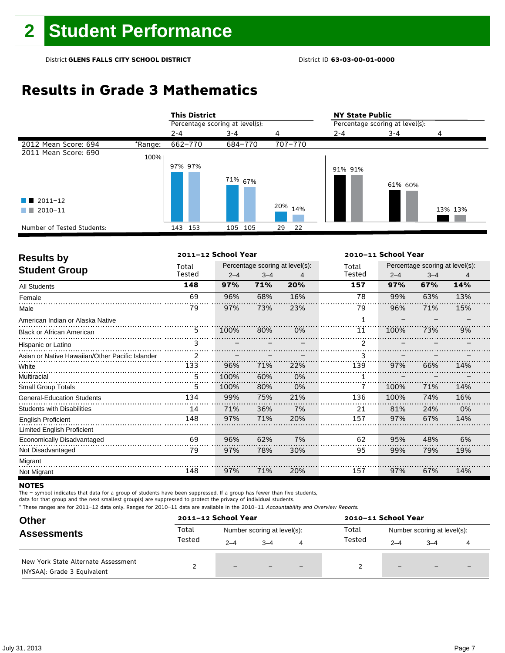## **Results in Grade 3 Mathematics**

|                            |         | <b>This District</b>            |                    |          | <b>NY State Public</b>          |         |         |  |
|----------------------------|---------|---------------------------------|--------------------|----------|---------------------------------|---------|---------|--|
|                            |         | Percentage scoring at level(s): |                    |          | Percentage scoring at level(s): |         |         |  |
|                            |         | $2 - 4$                         | $3 - 4$            | 4        | $2 - 4$                         | $3 - 4$ | 4       |  |
| 2012 Mean Score: 694       | *Range: | 662-770                         | 684-770            | 707-770  |                                 |         |         |  |
| 2011 Mean Score: 690       | 100%    |                                 |                    |          |                                 |         |         |  |
|                            |         | 97% 97%                         | <sup>71%</sup> 67% |          | 91% 91%                         | 61% 60% |         |  |
| $\blacksquare$ 2011-12     |         |                                 |                    |          |                                 |         |         |  |
| 2010-11<br>a sa T          |         |                                 |                    | 20% 14%  |                                 |         | 13% 13% |  |
| Number of Tested Students: |         | 143<br>153                      | 105<br>105         | 22<br>29 |                                 |         |         |  |

| <b>Results by</b>                               | 2011-12 School Year<br>2010-11 School Year |         |         |                                 |                |                                 |         |     |  |  |
|-------------------------------------------------|--------------------------------------------|---------|---------|---------------------------------|----------------|---------------------------------|---------|-----|--|--|
| <b>Student Group</b>                            | Total                                      |         |         | Percentage scoring at level(s): | Total          | Percentage scoring at level(s): |         |     |  |  |
|                                                 | Tested                                     | $2 - 4$ | $3 - 4$ | 4                               | Tested         | $2 - 4$                         | $3 - 4$ | 4   |  |  |
| <b>All Students</b>                             | 148                                        | 97%     | 71%     | 20%                             | 157            | 97%                             | 67%     | 14% |  |  |
| Female                                          | 69                                         | 96%     | 68%     | 16%                             | 78             | 99%                             | 63%     | 13% |  |  |
| Male                                            | 79                                         | 97%     | 73%     | 23%                             | 79             | 96%                             | 71%     | 15% |  |  |
| American Indian or Alaska Native                |                                            |         |         |                                 | 1              |                                 |         |     |  |  |
| <b>Black or African American</b>                | 5                                          | 100%    | 80%     | 0%                              | 11             | 100%                            | 73%     | 9%  |  |  |
| Hispanic or Latino                              | 3                                          |         |         |                                 | $\overline{2}$ |                                 |         |     |  |  |
| Asian or Native Hawaiian/Other Pacific Islander | 2                                          |         |         |                                 | 3              |                                 |         |     |  |  |
| White                                           | 133                                        | 96%     | 71%     | 22%                             | 139            | 97%                             | 66%     | 14% |  |  |
| Multiracial                                     | 5                                          | 100%    | 60%     | 0%                              |                |                                 |         |     |  |  |
| <b>Small Group Totals</b>                       | 5                                          | 100%    | 80%     | 0%                              |                | 100%                            | 71%     | 14% |  |  |
| <b>General-Education Students</b>               | 134                                        | 99%     | 75%     | 21%                             | 136            | 100%                            | 74%     | 16% |  |  |
| <b>Students with Disabilities</b>               | 14                                         | 71%     | 36%     | 7%                              | 21             | 81%                             | 24%     | 0%  |  |  |
| <b>English Proficient</b>                       | 148                                        | 97%     | 71%     | 20%                             | 157            | 97%                             | 67%     | 14% |  |  |
| Limited English Proficient                      |                                            |         |         |                                 |                |                                 |         |     |  |  |
| Economically Disadvantaged                      | 69                                         | 96%     | 62%     | 7%                              | 62             | 95%                             | 48%     | 6%  |  |  |
| Not Disadvantaged                               | 79                                         | 97%     | 78%     | 30%                             | 95             | 99%                             | 79%     | 19% |  |  |
| Migrant                                         |                                            |         |         |                                 |                |                                 |         |     |  |  |
| Not Migrant                                     | 148                                        | 97%     | 71%     | 20%                             | 157            | 97%                             | 67%     | 14% |  |  |

#### **NOTES**

The – symbol indicates that data for a group of students have been suppressed. If a group has fewer than five students,

data for that group and the next smallest group(s) are suppressed to protect the privacy of individual students.

| <b>Other</b>                                                       |        | 2011-12 School Year         |         |                          |        | 2010-11 School Year         |                          |                          |  |
|--------------------------------------------------------------------|--------|-----------------------------|---------|--------------------------|--------|-----------------------------|--------------------------|--------------------------|--|
| <b>Assessments</b>                                                 | Total  | Number scoring at level(s): |         |                          | Total  | Number scoring at level(s): |                          |                          |  |
|                                                                    | Tested | $2 - 4$                     | $3 - 4$ | 4                        | Tested | $2 - 4$                     | $3 - 4$                  |                          |  |
| New York State Alternate Assessment<br>(NYSAA): Grade 3 Equivalent |        | $-$                         |         | $\overline{\phantom{0}}$ |        | $-$                         | $\overline{\phantom{0}}$ | $\overline{\phantom{0}}$ |  |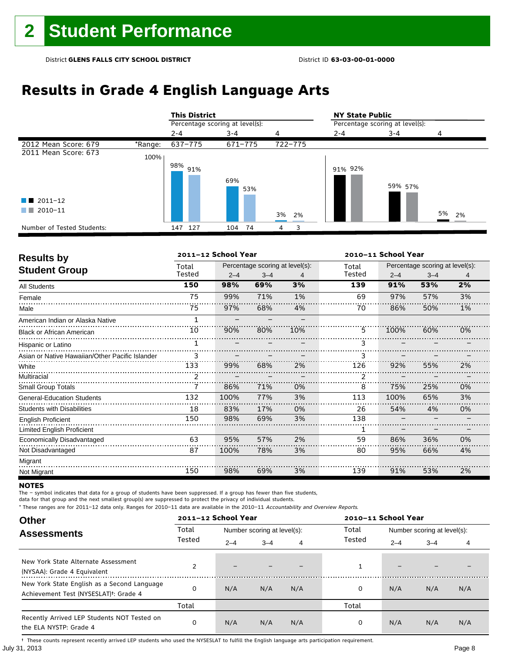# **Results in Grade 4 English Language Arts**

|                            |         | <b>This District</b>            |            |         | <b>NY State Public</b>          |         |       |  |
|----------------------------|---------|---------------------------------|------------|---------|---------------------------------|---------|-------|--|
|                            |         | Percentage scoring at level(s): |            |         | Percentage scoring at level(s): |         |       |  |
|                            |         | $2 - 4$                         | $3 - 4$    | 4       | $2 - 4$                         | $3 - 4$ | 4     |  |
| 2012 Mean Score: 679       | *Range: | 637-775                         | 671-775    | 722-775 |                                 |         |       |  |
| 2011 Mean Score: 673       | 100%    |                                 |            |         |                                 |         |       |  |
|                            |         | $98\%$ 91%                      | 69%<br>53% |         | 91% 92%                         | 59% 57% |       |  |
| $\blacksquare$ 2011-12     |         |                                 |            |         |                                 |         |       |  |
| 2010-11<br>a sa n          |         |                                 |            | 3% 2%   |                                 |         | 5% 2% |  |
| Number of Tested Students: |         | 127<br>147                      | 74<br>104  | 3<br>4  |                                 |         |       |  |

| <b>Results by</b>                               |        | 2011-12 School Year |                                 |     |        | 2010-11 School Year |                                 |    |  |
|-------------------------------------------------|--------|---------------------|---------------------------------|-----|--------|---------------------|---------------------------------|----|--|
| <b>Student Group</b>                            | Total  |                     | Percentage scoring at level(s): |     | Total  |                     | Percentage scoring at level(s): |    |  |
|                                                 | Tested | $2 - 4$             | $3 - 4$                         | 4   | Tested | $2 - 4$             | $3 - 4$                         | 4  |  |
| <b>All Students</b>                             | 150    | 98%                 | 69%                             | 3%  | 139    | 91%                 | 53%                             | 2% |  |
| Female                                          | 75     | 99%                 | 71%                             | 1%  | 69     | 97%                 | 57%                             | 3% |  |
| Male                                            | 75     | 97%                 | 68%                             | 4%  | 70     | 86%                 | 50%                             | 1% |  |
| American Indian or Alaska Native                | 1      |                     |                                 |     |        |                     |                                 |    |  |
| <b>Black or African American</b>                | 10     | 90%                 | 80%                             | 10% | 5.     | 100%                | 60%                             | 0% |  |
| Hispanic or Latino                              |        |                     |                                 |     |        |                     |                                 |    |  |
| Asian or Native Hawaiian/Other Pacific Islander | 3      |                     |                                 |     |        |                     |                                 |    |  |
| White                                           | 133    | 99%                 | 68%                             | 2%  | 126    | 92%                 | 55%                             | 2% |  |
| Multiracial                                     |        |                     |                                 |     |        |                     |                                 |    |  |
| <b>Small Group Totals</b>                       |        | 86%                 | 71%                             | 0%  | 8      | 75%                 | 25%                             | 0% |  |
| <b>General-Education Students</b>               | 132    | 100%                | 77%                             | 3%  | 113    | 100%                | 65%                             | 3% |  |
| <b>Students with Disabilities</b>               | 18     | 83%                 | 17%                             | 0%  | 26     | 54%                 | 4%                              | 0% |  |
| <b>English Proficient</b>                       | 150    | 98%                 | 69%                             | 3%  | 138    |                     |                                 |    |  |
| Limited English Proficient                      |        |                     |                                 |     |        |                     |                                 |    |  |
| Economically Disadvantaged                      | 63     | 95%                 | 57%                             | 2%  | 59     | 86%                 | 36%                             | 0% |  |
| Not Disadvantaged                               | 87     | 100%                | 78%                             | 3%  | 80     | 95%                 | 66%                             | 4% |  |
| Migrant                                         |        |                     |                                 |     |        |                     |                                 |    |  |
| Not Migrant                                     | 150    | 98%                 | 69%                             | 3%  | 139    | 91%                 | 53%                             | 2% |  |

#### **NOTES**

The – symbol indicates that data for a group of students have been suppressed. If a group has fewer than five students,

data for that group and the next smallest group(s) are suppressed to protect the privacy of individual students.

\* These ranges are for 2011–12 data only. Ranges for 2010–11 data are available in the 2010–11 Accountability and Overview Reports.

| <b>Other</b>                                                                                      |        | 2011-12 School Year |                             |     | 2010-11 School Year |         |                             |     |
|---------------------------------------------------------------------------------------------------|--------|---------------------|-----------------------------|-----|---------------------|---------|-----------------------------|-----|
| <b>Assessments</b>                                                                                | Total  |                     | Number scoring at level(s): |     | Total               |         | Number scoring at level(s): |     |
|                                                                                                   | Tested | $2 - 4$             | $3 - 4$                     | 4   | Tested              | $2 - 4$ | $3 - 4$                     | 4   |
| New York State Alternate Assessment<br>(NYSAA): Grade 4 Equivalent                                |        |                     |                             |     |                     | -       |                             |     |
| New York State English as a Second Language<br>Achievement Test (NYSESLAT) <sup>+</sup> : Grade 4 | O      | N/A                 | N/A                         | N/A | 0                   | N/A     | N/A                         | N/A |
|                                                                                                   | Total  |                     |                             |     | Total               |         |                             |     |
| Recently Arrived LEP Students NOT Tested on<br>the ELA NYSTP: Grade 4                             | 0      | N/A                 | N/A                         | N/A | 0                   | N/A     | N/A                         | N/A |

July 31, 2013 Page 8 † These counts represent recently arrived LEP students who used the NYSESLAT to fulfill the English language arts participation requirement.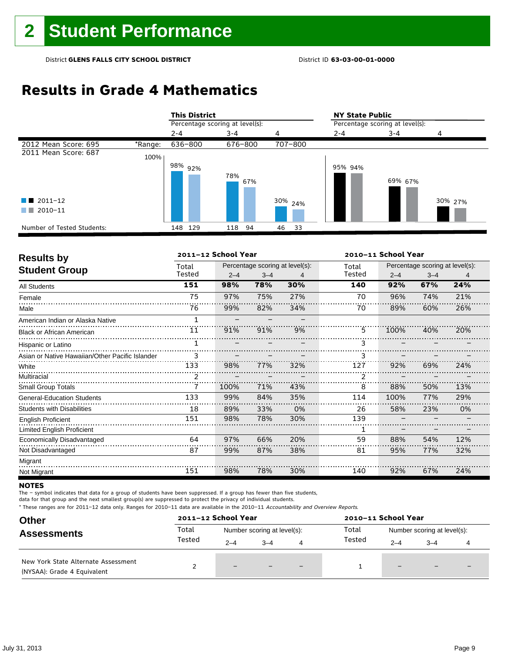## **Results in Grade 4 Mathematics**

|                            |         | <b>This District</b>            |            |          | <b>NY State Public</b>          |         |         |  |  |
|----------------------------|---------|---------------------------------|------------|----------|---------------------------------|---------|---------|--|--|
|                            |         | Percentage scoring at level(s): |            |          | Percentage scoring at level(s): |         |         |  |  |
|                            |         | $2 - 4$                         | $3 - 4$    | 4        | $2 - 4$                         | $3 - 4$ | 4       |  |  |
| 2012 Mean Score: 695       | *Range: | 636-800                         | 676-800    | 707-800  |                                 |         |         |  |  |
| 2011 Mean Score: 687       | 100%    |                                 |            |          |                                 |         |         |  |  |
|                            |         | $98\%$ 92%                      | 78%<br>67% |          | 95% 94%                         | 69% 67% |         |  |  |
| $\blacksquare$ 2011-12     |         |                                 |            | 30% 24%  |                                 |         | 30% 27% |  |  |
| 2010-11<br>a ka            |         |                                 |            |          |                                 |         |         |  |  |
| Number of Tested Students: |         | 148 129                         | 118<br>94  | 46<br>33 |                                 |         |         |  |  |

| <b>Results by</b>                               |        | 2011-12 School Year |         |                                 | 2010-11 School Year |         |                                 |     |
|-------------------------------------------------|--------|---------------------|---------|---------------------------------|---------------------|---------|---------------------------------|-----|
| <b>Student Group</b>                            | Total  |                     |         | Percentage scoring at level(s): | Total               |         | Percentage scoring at level(s): |     |
|                                                 | Tested | $2 - 4$             | $3 - 4$ | 4                               | Tested              | $2 - 4$ | $3 - 4$                         | 4   |
| <b>All Students</b>                             | 151    | 98%                 | 78%     | 30%                             | 140                 | 92%     | 67%                             | 24% |
| Female                                          | 75     | 97%                 | 75%     | 27%                             | 70                  | 96%     | 74%                             | 21% |
| Male                                            | 76     | 99%                 | 82%     | 34%                             | 70                  | 89%     | 60%                             | 26% |
| American Indian or Alaska Native                | 1      |                     |         |                                 |                     |         |                                 |     |
| <b>Black or African American</b>                | 11     | 91%                 | 91%     | 9%                              | 5                   | 100%    | 40%                             | 20% |
| Hispanic or Latino                              |        |                     |         |                                 |                     |         |                                 |     |
| Asian or Native Hawaiian/Other Pacific Islander |        |                     |         |                                 |                     |         |                                 |     |
| White                                           | 133    | 98%                 | 77%     | 32%                             | 127                 | 92%     | 69%                             | 24% |
| Multiracial                                     | 2      |                     |         |                                 |                     |         |                                 |     |
| <b>Small Group Totals</b>                       | 7      | 100%                | 71%     | 43%                             | 8                   | 88%     | 50%                             | 13% |
| <b>General-Education Students</b>               | 133    | 99%                 | 84%     | 35%                             | 114                 | 100%    | 77%                             | 29% |
| <b>Students with Disabilities</b>               | 18     | 89%                 | 33%     | 0%                              | 26                  | 58%     | 23%                             | 0%  |
| <b>English Proficient</b>                       | 151    | 98%                 | 78%     | 30%                             | 139                 |         |                                 |     |
| Limited English Proficient                      |        |                     |         |                                 |                     |         |                                 |     |
| Economically Disadvantaged                      | 64     | 97%                 | 66%     | 20%                             | 59                  | 88%     | 54%                             | 12% |
| Not Disadvantaged                               | 87     | 99%                 | 87%     | 38%                             | 81                  | 95%     | 77%                             | 32% |
| Migrant                                         |        |                     |         |                                 |                     |         |                                 |     |
| Not Migrant                                     | 151    | 98%                 | 78%     | 30%                             | 140                 | 92%     | 67%                             | 24% |

#### **NOTES**

The – symbol indicates that data for a group of students have been suppressed. If a group has fewer than five students,

data for that group and the next smallest group(s) are suppressed to protect the privacy of individual students.

| <b>Other</b>                                                       |                 | 2011-12 School Year         |         |                          |        | 2010-11 School Year         |                          |  |  |
|--------------------------------------------------------------------|-----------------|-----------------------------|---------|--------------------------|--------|-----------------------------|--------------------------|--|--|
| <b>Assessments</b>                                                 | Total<br>Tested | Number scoring at level(s): |         |                          | Total  | Number scoring at level(s): |                          |  |  |
|                                                                    |                 | $2 - 4$                     | $3 - 4$ | 4                        | Tested | $2 - 4$                     | $3 - 4$                  |  |  |
| New York State Alternate Assessment<br>(NYSAA): Grade 4 Equivalent |                 | $-$                         |         | $\overline{\phantom{0}}$ |        | $\qquad \qquad -$           | $\overline{\phantom{0}}$ |  |  |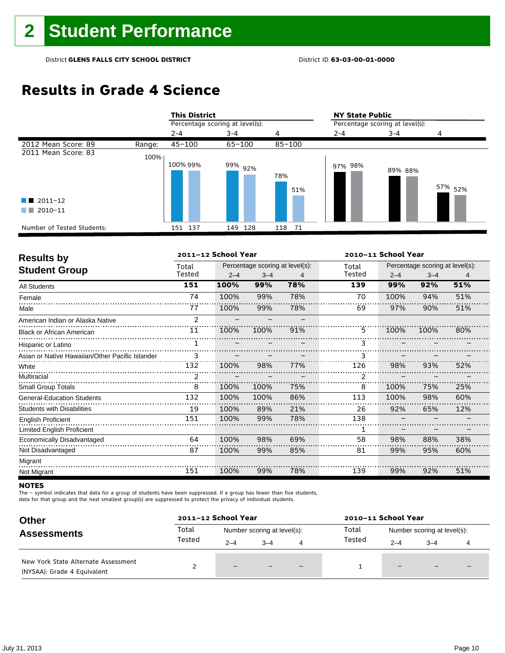## **Results in Grade 4 Science**

|                            |        | <b>This District</b>            |                    |            | <b>NY State Public</b>          |         |                    |
|----------------------------|--------|---------------------------------|--------------------|------------|---------------------------------|---------|--------------------|
|                            |        | Percentage scoring at level(s): |                    |            | Percentage scoring at level(s): |         |                    |
|                            |        | $2 - 4$                         | $3 - 4$            | 4          | $2 - 4$                         | $3 - 4$ |                    |
| 2012 Mean Score: 89        | Range: | $45 - 100$                      | $65 - 100$         | $85 - 100$ |                                 |         |                    |
| 2011 Mean Score: 83        | 100%   | 100% 99%                        | 99% <sub>92%</sub> |            | 97% 98%                         |         |                    |
|                            |        |                                 |                    | 78%<br>51% |                                 | 89% 88% | 57% <sub>52%</sub> |
| $\blacksquare$ 2011-12     |        |                                 |                    |            |                                 |         |                    |
| 2010-11                    |        |                                 |                    |            |                                 |         |                    |
| Number of Tested Students: |        | 151 137                         | 149 128            | 118 71     |                                 |         |                    |

| <b>Results by</b>                               |                | 2011-12 School Year |                                 |     | 2010-11 School Year |         |                                 |     |  |
|-------------------------------------------------|----------------|---------------------|---------------------------------|-----|---------------------|---------|---------------------------------|-----|--|
| <b>Student Group</b>                            | Total          |                     | Percentage scoring at level(s): |     | Total               |         | Percentage scoring at level(s): |     |  |
|                                                 | Tested         | $2 - 4$             | $3 - 4$                         | 4   | Tested              | $2 - 4$ | $3 - 4$                         | 4   |  |
| All Students                                    | 151            | 100%                | 99%                             | 78% | 139                 | 99%     | 92%                             | 51% |  |
| Female                                          | 74             | 100%                | 99%                             | 78% | 70                  | 100%    | 94%                             | 51% |  |
| Male                                            | 77             | 100%                | 99%                             | 78% | 69                  | 97%     | 90%                             | 51% |  |
| American Indian or Alaska Native                | $\mathfrak{p}$ |                     |                                 |     |                     |         |                                 |     |  |
| <b>Black or African American</b>                | 11             | 100%                | 100%                            | 91% | 5                   | 100%    | 100%                            | 80% |  |
| Hispanic or Latino                              |                |                     |                                 |     |                     |         |                                 |     |  |
| Asian or Native Hawaiian/Other Pacific Islander | 3              |                     |                                 |     |                     |         |                                 |     |  |
| White                                           | 132            | 100%                | 98%                             | 77% | 126                 | 98%     | 93%                             | 52% |  |
| Multiracial                                     | 2              |                     |                                 |     |                     |         |                                 |     |  |
| <b>Small Group Totals</b>                       | 8              | 100%                | 100%                            | 75% | 8                   | 100%    | 75%                             | 25% |  |
| <b>General-Education Students</b>               | 132            | 100%                | 100%                            | 86% | 113                 | 100%    | 98%                             | 60% |  |
| <b>Students with Disabilities</b>               | 19             | 100%                | 89%                             | 21% | 26                  | 92%     | 65%                             | 12% |  |
| <b>English Proficient</b>                       | 151            | 100%                | 99%                             | 78% | 138                 |         |                                 |     |  |
| Limited English Proficient                      |                |                     |                                 |     |                     |         |                                 |     |  |
| Economically Disadvantaged                      | 64             | 100%                | 98%                             | 69% | 58                  | 98%     | 88%                             | 38% |  |
| Not Disadvantaged                               | 87             | 100%                | 99%                             | 85% | 81                  | 99%     | 95%                             | 60% |  |
| Migrant                                         |                |                     |                                 |     |                     |         |                                 |     |  |
| Not Migrant                                     | 151            | 100%                | 99%                             | 78% | 139                 | 99%     | 92%                             | 51% |  |

#### **NOTES**

The – symbol indicates that data for a group of students have been suppressed. If a group has fewer than five students,

data for that group and the next smallest group(s) are suppressed to protect the privacy of individual students.

| <b>Other</b><br><b>Assessments</b>                                 |        | 2011-12 School Year         |         |                          | 2010-11 School Year |                             |                          |                          |
|--------------------------------------------------------------------|--------|-----------------------------|---------|--------------------------|---------------------|-----------------------------|--------------------------|--------------------------|
|                                                                    | Total  | Number scoring at level(s): |         |                          | Total               | Number scoring at level(s): |                          |                          |
|                                                                    | Tested | $2 - 4$                     | $3 - 4$ | 4                        | Tested              | $2 - 4$                     | $3 - 4$                  |                          |
| New York State Alternate Assessment<br>(NYSAA): Grade 4 Equivalent |        | $-$                         |         | $\overline{\phantom{0}}$ |                     | $-$                         | $\overline{\phantom{0}}$ | $\overline{\phantom{0}}$ |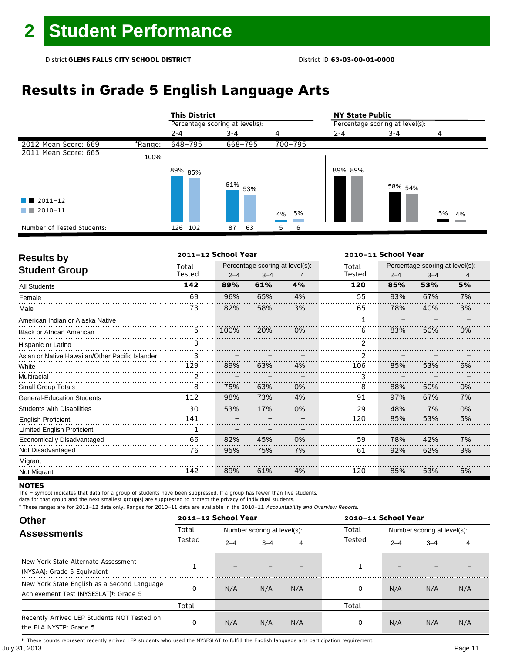# **Results in Grade 5 English Language Arts**

|                            |         | <b>This District</b>            |            |         | <b>NY State Public</b>          |                    |       |  |
|----------------------------|---------|---------------------------------|------------|---------|---------------------------------|--------------------|-------|--|
|                            |         | Percentage scoring at level(s): |            |         | Percentage scoring at level(s): |                    |       |  |
|                            |         | $2 - 4$                         | 3-4        | 4       | $2 - 4$                         | 3-4                | 4     |  |
| 2012 Mean Score: 669       | *Range: | 648-795                         | 668-795    | 700-795 |                                 |                    |       |  |
| 2011 Mean Score: 665       | 100%    |                                 |            |         |                                 |                    |       |  |
|                            |         | 89% 85%                         | $61\%$ 53% |         | 89% 89%                         | 58% <sub>54%</sub> |       |  |
| $\blacksquare$ 2011-12     |         |                                 |            |         |                                 |                    |       |  |
| 2010-11                    |         |                                 |            | 4% 5%   |                                 |                    | 5% 4% |  |
| Number of Tested Students: |         | 126<br>102                      | 87<br>63   | 6<br>5. |                                 |                    |       |  |

| <b>Results by</b>                               |        | 2011-12 School Year |                                 |    | 2010-11 School Year |         |                                 |    |
|-------------------------------------------------|--------|---------------------|---------------------------------|----|---------------------|---------|---------------------------------|----|
| <b>Student Group</b>                            | Total  |                     | Percentage scoring at level(s): |    | Total               |         | Percentage scoring at level(s): |    |
|                                                 | Tested | $2 - 4$             | $3 - 4$                         | 4  | Tested              | $2 - 4$ | $3 - 4$                         | 4  |
| <b>All Students</b>                             | 142    | 89%                 | 61%                             | 4% | 120                 | 85%     | 53%                             | 5% |
| Female                                          | 69     | 96%                 | 65%                             | 4% | 55                  | 93%     | 67%                             | 7% |
| Male                                            | 73     | 82%                 | 58%                             | 3% | 65                  | 78%     | 40%                             | 3% |
| American Indian or Alaska Native                |        |                     |                                 |    | 1                   |         |                                 |    |
| <b>Black or African American</b>                | 5      | 100%                | 20%                             | 0% | 6                   | 83%     | 50%                             | 0% |
| Hispanic or Latino                              | ٩      |                     |                                 |    | $\mathcal{P}$       |         |                                 |    |
| Asian or Native Hawaiian/Other Pacific Islander | 3      |                     |                                 |    |                     |         |                                 |    |
| White                                           | 129    | 89%                 | 63%                             | 4% | 106                 | 85%     | 53%                             | 6% |
| Multiracial                                     | 2      |                     |                                 |    |                     |         |                                 |    |
| <b>Small Group Totals</b>                       | 8      | 75%                 | 63%                             | 0% | 8                   | 88%     | 50%                             | 0% |
| <b>General-Education Students</b>               | 112    | 98%                 | 73%                             | 4% | 91                  | 97%     | 67%                             | 7% |
| <b>Students with Disabilities</b>               | 30     | 53%                 | 17%                             | 0% | 29                  | 48%     | 7%                              | 0% |
| <b>English Proficient</b>                       | 141    |                     |                                 |    | 120                 | 85%     | 53%                             | 5% |
| Limited English Proficient                      |        |                     |                                 |    |                     |         |                                 |    |
| Economically Disadvantaged                      | 66     | 82%                 | 45%                             | 0% | 59                  | 78%     | 42%                             | 7% |
| Not Disadvantaged                               | 76     | 95%                 | 75%                             | 7% | 61                  | 92%     | 62%                             | 3% |
| Migrant                                         |        |                     |                                 |    |                     |         |                                 |    |
| Not Migrant                                     | 142    | 89%                 | 61%                             | 4% | 120                 | 85%     | 53%                             | 5% |

#### **NOTES**

The – symbol indicates that data for a group of students have been suppressed. If a group has fewer than five students,

data for that group and the next smallest group(s) are suppressed to protect the privacy of individual students.

\* These ranges are for 2011–12 data only. Ranges for 2010–11 data are available in the 2010–11 Accountability and Overview Reports.

| <b>Other</b>                                                                                      |        | 2011-12 School Year |                             |     |        | 2010-11 School Year         |         |     |  |
|---------------------------------------------------------------------------------------------------|--------|---------------------|-----------------------------|-----|--------|-----------------------------|---------|-----|--|
| <b>Assessments</b>                                                                                | Total  |                     | Number scoring at level(s): |     | Total  | Number scoring at level(s): |         |     |  |
|                                                                                                   | Tested | $2 - 4$             | $3 - 4$                     | 4   | Tested | $2 - 4$                     | $3 - 4$ | 4   |  |
| New York State Alternate Assessment<br>(NYSAA): Grade 5 Equivalent                                |        |                     |                             |     |        | -                           |         |     |  |
| New York State English as a Second Language<br>Achievement Test (NYSESLAT) <sup>+</sup> : Grade 5 | O      | N/A                 | N/A                         | N/A | 0      | N/A                         | N/A     | N/A |  |
|                                                                                                   | Total  |                     |                             |     | Total  |                             |         |     |  |
| Recently Arrived LEP Students NOT Tested on<br>the ELA NYSTP: Grade 5                             | 0      | N/A                 | N/A                         | N/A | 0      | N/A                         | N/A     | N/A |  |

July 31, 2013 Page 11 † These counts represent recently arrived LEP students who used the NYSESLAT to fulfill the English language arts participation requirement.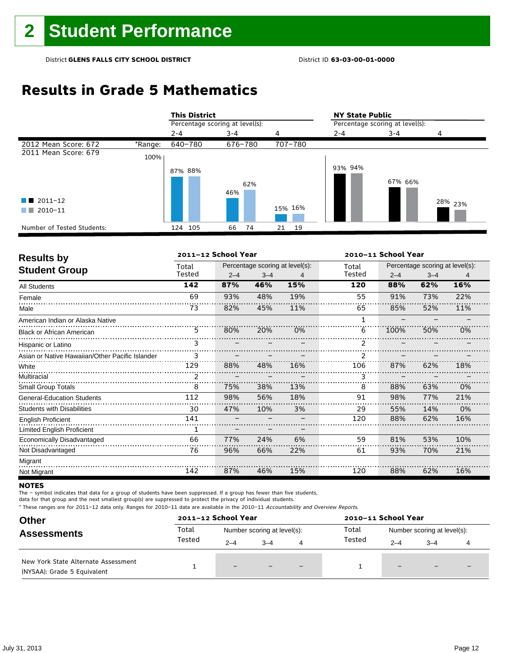## **Results in Grade 5 Mathematics**

|                            |         | <b>This District</b>            |            |          | <b>NY State Public</b>          |         |                    |  |
|----------------------------|---------|---------------------------------|------------|----------|---------------------------------|---------|--------------------|--|
|                            |         | Percentage scoring at level(s): |            |          | Percentage scoring at level(s): |         |                    |  |
|                            |         | $2 - 4$                         | $3 - 4$    | 4        | $2 - 4$                         | $3 - 4$ | 4                  |  |
| 2012 Mean Score: 672       | *Range: | 640-780                         | 676-780    | 707-780  |                                 |         |                    |  |
| 2011 Mean Score: 679       | 100%    |                                 |            |          |                                 |         |                    |  |
|                            |         | 87% 88%                         | 62%<br>46% |          | 93% 94%                         | 67% 66% |                    |  |
| $\blacksquare$ 2011-12     |         |                                 |            |          |                                 |         | <sup>28%</sup> 23% |  |
| 2010-11<br>a sa T          |         |                                 |            | 15% 16%  |                                 |         |                    |  |
| Number of Tested Students: |         | 124 105                         | 74<br>66   | 19<br>21 |                                 |         |                    |  |

| <b>Results by</b>                               | 2011-12 School Year |         |         |                                 |                | 2010-11 School Year<br>Percentage scoring at level(s):<br>$2 - 4$<br>$3 - 4$<br>4<br>62%<br>16%<br>88%<br>22%<br>91%<br>73%<br>85%<br>52%<br>11% |     |     |  |
|-------------------------------------------------|---------------------|---------|---------|---------------------------------|----------------|--------------------------------------------------------------------------------------------------------------------------------------------------|-----|-----|--|
| <b>Student Group</b>                            | Total               |         |         | Percentage scoring at level(s): | Total          |                                                                                                                                                  |     |     |  |
|                                                 | Tested              | $2 - 4$ | $3 - 4$ | 4                               | Tested         |                                                                                                                                                  |     |     |  |
| <b>All Students</b>                             | 142                 | 87%     | 46%     | 15%                             | 120            |                                                                                                                                                  |     |     |  |
| Female                                          | 69                  | 93%     | 48%     | 19%                             | 55             |                                                                                                                                                  |     |     |  |
| Male                                            | 73                  | 82%     | 45%     | 11%                             | 65             |                                                                                                                                                  |     |     |  |
| American Indian or Alaska Native                |                     |         |         |                                 | 1              |                                                                                                                                                  |     |     |  |
| <b>Black or African American</b>                | 5                   | 80%     | 20%     | 0%                              | 6              | 100%                                                                                                                                             | 50% | 0%  |  |
| Hispanic or Latino                              | 3                   |         |         |                                 | $\overline{2}$ |                                                                                                                                                  |     |     |  |
| Asian or Native Hawaiian/Other Pacific Islander | 3                   |         |         |                                 | $\overline{2}$ |                                                                                                                                                  |     |     |  |
| White                                           | 129                 | 88%     | 48%     | 16%                             | 106            | 87%                                                                                                                                              | 62% | 18% |  |
| Multiracial                                     | 2                   |         |         |                                 | 3              |                                                                                                                                                  |     |     |  |
| <b>Small Group Totals</b>                       | 8                   | 75%     | 38%     | 13%                             | 8              | 88%                                                                                                                                              | 63% | 0%  |  |
| <b>General-Education Students</b>               | 112                 | 98%     | 56%     | 18%                             | 91             | 98%                                                                                                                                              | 77% | 21% |  |
| <b>Students with Disabilities</b>               | 30                  | 47%     | 10%     | 3%                              | 29             | 55%                                                                                                                                              | 14% | 0%  |  |
| <b>English Proficient</b>                       | 141                 |         |         |                                 | 120            | 88%                                                                                                                                              | 62% | 16% |  |
| <b>Limited English Proficient</b>               |                     |         |         |                                 |                |                                                                                                                                                  |     |     |  |
| Economically Disadvantaged                      | 66                  | 77%     | 24%     | 6%                              | 59             | 81%                                                                                                                                              | 53% | 10% |  |
| Not Disadvantaged                               | 76                  | 96%     | 66%     | 22%                             | 61             | 93%                                                                                                                                              | 70% | 21% |  |
| Migrant                                         |                     |         |         |                                 |                |                                                                                                                                                  |     |     |  |
| Not Migrant                                     | 142                 | 87%     | 46%     | 15%                             | 120            | 88%                                                                                                                                              | 62% | 16% |  |

#### **NOTES**

The – symbol indicates that data for a group of students have been suppressed. If a group has fewer than five students,

data for that group and the next smallest group(s) are suppressed to protect the privacy of individual students.

| <b>Other</b>                                                       |        | 2011-12 School Year         |         |   | 2010-11 School Year                  |         |                          |                          |  |
|--------------------------------------------------------------------|--------|-----------------------------|---------|---|--------------------------------------|---------|--------------------------|--------------------------|--|
| <b>Assessments</b>                                                 | Total  | Number scoring at level(s): |         |   | Total<br>Number scoring at level(s): |         |                          |                          |  |
|                                                                    | Tested | $2 - 4$                     | $3 - 4$ | 4 | Tested                               | $2 - 4$ | $3 - 4$                  |                          |  |
| New York State Alternate Assessment<br>(NYSAA): Grade 5 Equivalent |        | $-$                         |         |   |                                      | $-$     | $\overline{\phantom{0}}$ | $\overline{\phantom{0}}$ |  |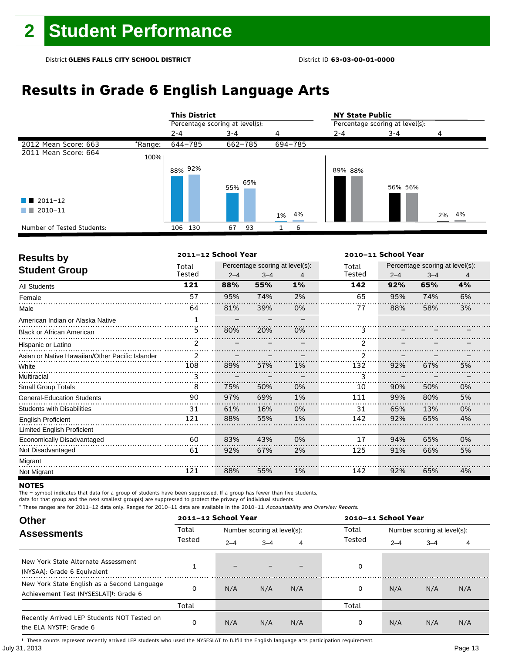# **Results in Grade 6 English Language Arts**

|                            |         | <b>This District</b>            |            |          | <b>NY State Public</b>          |         |          |  |
|----------------------------|---------|---------------------------------|------------|----------|---------------------------------|---------|----------|--|
|                            |         | Percentage scoring at level(s): |            |          | Percentage scoring at level(s): |         |          |  |
|                            |         | $2 - 4$                         | $3 - 4$    | 4        | $2 - 4$                         | $3 - 4$ | 4        |  |
| 2012 Mean Score: 663       | *Range: | 644-785                         | 662-785    | 694-785  |                                 |         |          |  |
| 2011 Mean Score: 664       | 100%    |                                 |            |          |                                 |         |          |  |
|                            |         | 88% 92%                         | 65%<br>55% |          | 89% 88%                         | 56% 56% |          |  |
| $\blacksquare$ 2011-12     |         |                                 |            |          |                                 |         |          |  |
| 2010-11<br>a ka            |         |                                 |            | 4%<br>1% |                                 |         | 4%<br>2% |  |
| Number of Tested Students: |         | 130<br>106                      | 93<br>67   | 6        |                                 |         |          |  |

| <b>Results by</b>                               |               | 2011-12 School Year<br>2010-11 School Year |                                 |    |        |         |                                 |    |  |  |
|-------------------------------------------------|---------------|--------------------------------------------|---------------------------------|----|--------|---------|---------------------------------|----|--|--|
| <b>Student Group</b>                            | Total         |                                            | Percentage scoring at level(s): |    | Total  |         | Percentage scoring at level(s): |    |  |  |
|                                                 | Tested        | $2 - 4$                                    | $3 - 4$                         | 4  | Tested | $2 - 4$ | $3 - 4$                         | 4  |  |  |
| All Students                                    | 121           | 88%                                        | 55%                             | 1% | 142    | 92%     | 65%                             | 4% |  |  |
| Female                                          | 57            | 95%                                        | 74%                             | 2% | 65     | 95%     | 74%                             | 6% |  |  |
| Male                                            | 64            | 81%                                        | 39%                             | 0% | 77     | 88%     | 58%                             | 3% |  |  |
| American Indian or Alaska Native                | 1             |                                            |                                 |    |        |         |                                 |    |  |  |
| <b>Black or African American</b>                | 5             | 80%                                        | 20%                             | 0% | 3.     |         |                                 |    |  |  |
| Hispanic or Latino                              | $\mathcal{P}$ |                                            |                                 |    |        |         |                                 |    |  |  |
| Asian or Native Hawaiian/Other Pacific Islander | $\mathcal{P}$ |                                            |                                 |    |        |         |                                 |    |  |  |
| White                                           | 108           | 89%                                        | 57%                             | 1% | 132    | 92%     | 67%                             | 5% |  |  |
| Multiracial                                     | 3             |                                            |                                 |    |        |         |                                 |    |  |  |
| Small Group Totals                              | 8             | 75%                                        | 50%                             | 0% | 10     | 90%     | 50%                             | 0% |  |  |
| <b>General-Education Students</b>               | 90            | 97%                                        | 69%                             | 1% | 111    | 99%     | 80%                             | 5% |  |  |
| <b>Students with Disabilities</b>               | 31            | 61%                                        | 16%                             | 0% | 31     | 65%     | 13%                             | 0% |  |  |
| <b>English Proficient</b>                       | 121           | 88%                                        | 55%                             | 1% | 142    | 92%     | 65%                             | 4% |  |  |
| Limited English Proficient                      |               |                                            |                                 |    |        |         |                                 |    |  |  |
| Economically Disadvantaged                      | 60            | 83%                                        | 43%                             | 0% | 17     | 94%     | 65%                             | 0% |  |  |
| Not Disadvantaged                               | 61            | 92%                                        | 67%                             | 2% | 125    | 91%     | 66%                             | 5% |  |  |
| Migrant                                         |               |                                            |                                 |    |        |         |                                 |    |  |  |
| Not Migrant                                     | 121           | 88%                                        | 55%                             | 1% | 142    | 92%     | 65%                             | 4% |  |  |

#### **NOTES**

The – symbol indicates that data for a group of students have been suppressed. If a group has fewer than five students,

data for that group and the next smallest group(s) are suppressed to protect the privacy of individual students.

\* These ranges are for 2011–12 data only. Ranges for 2010–11 data are available in the 2010–11 Accountability and Overview Reports.

| <b>Other</b>                                                                                      |        | 2011-12 School Year<br>2010-11 School Year |                                      |     |        |         |                             |     |  |  |
|---------------------------------------------------------------------------------------------------|--------|--------------------------------------------|--------------------------------------|-----|--------|---------|-----------------------------|-----|--|--|
| <b>Assessments</b>                                                                                | Total  |                                            | Total<br>Number scoring at level(s): |     |        |         | Number scoring at level(s): |     |  |  |
|                                                                                                   | Tested | $2 - 4$                                    | $3 - 4$                              | 4   | Tested | $2 - 4$ | $3 - 4$                     | 4   |  |  |
| New York State Alternate Assessment<br>(NYSAA): Grade 6 Equivalent                                |        |                                            |                                      |     | 0      |         |                             |     |  |  |
| New York State English as a Second Language<br>Achievement Test (NYSESLAT) <sup>+</sup> : Grade 6 | O      | N/A                                        | N/A                                  | N/A | 0      | N/A     | N/A                         | N/A |  |  |
|                                                                                                   | Total  |                                            |                                      |     | Total  |         |                             |     |  |  |
| Recently Arrived LEP Students NOT Tested on<br>the ELA NYSTP: Grade 6                             | 0      | N/A                                        | N/A                                  | N/A | 0      | N/A     | N/A                         | N/A |  |  |

July 31, 2013 Page 13 † These counts represent recently arrived LEP students who used the NYSESLAT to fulfill the English language arts participation requirement.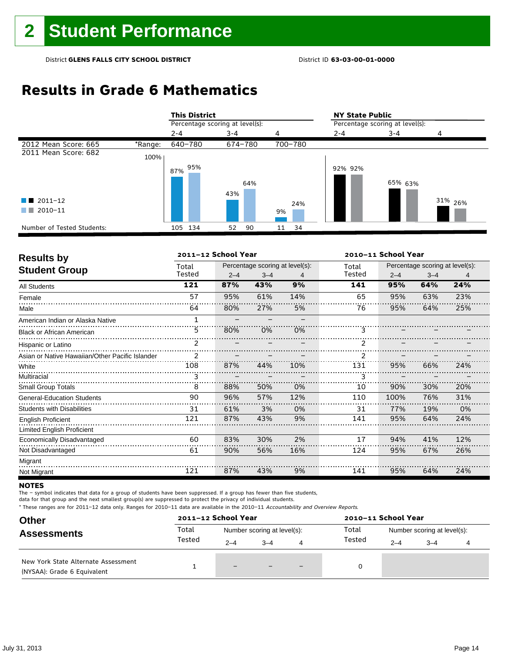## **Results in Grade 6 Mathematics**

|                            |         | <b>This District</b>            |            |          | <b>NY State Public</b>          |         |                    |  |
|----------------------------|---------|---------------------------------|------------|----------|---------------------------------|---------|--------------------|--|
|                            |         | Percentage scoring at level(s): |            |          | Percentage scoring at level(s): |         |                    |  |
|                            |         | $2 - 4$                         | $3 - 4$    | 4        | 2-4                             | $3 - 4$ |                    |  |
| 2012 Mean Score: 665       | *Range: | 640-780                         | 674-780    | 700-780  |                                 |         |                    |  |
| 2011 Mean Score: 682       | 100%    |                                 |            |          |                                 |         |                    |  |
|                            |         | 95%<br>87%                      | 64%<br>43% |          | 92% 92%                         | 65% 63% |                    |  |
| $\blacksquare$ 2011-12     |         |                                 |            | 24%      |                                 |         | 31% <sub>26%</sub> |  |
| 2010-11<br>a sa na         |         |                                 |            | 9%       |                                 |         |                    |  |
| Number of Tested Students: |         | 134<br>105                      | 90<br>52   | 34<br>11 |                                 |         |                    |  |

| <b>Results by</b>                               |        | 2011-12 School Year |                                 |     | 2010-11 School Year |         |                                 |     |  |
|-------------------------------------------------|--------|---------------------|---------------------------------|-----|---------------------|---------|---------------------------------|-----|--|
|                                                 | Total  |                     | Percentage scoring at level(s): |     | Total               |         | Percentage scoring at level(s): |     |  |
| <b>Student Group</b>                            | Tested | $2 - 4$             | $3 - 4$                         | 4   | Tested              | $2 - 4$ | $3 - 4$                         | 4   |  |
| All Students                                    | 121    | 87%                 | 43%                             | 9%  | 141                 | 95%     | 64%                             | 24% |  |
| Female                                          | 57     | 95%                 | 61%                             | 14% | 65                  | 95%     | 63%                             | 23% |  |
| Male                                            | 64     | 80%                 | 27%                             | 5%  | 76                  | 95%     | 64%                             | 25% |  |
| American Indian or Alaska Native                | 1      |                     |                                 |     |                     |         |                                 |     |  |
| <b>Black or African American</b>                | 5      | 80%                 | 0%                              | 0%  | 3                   |         |                                 |     |  |
| Hispanic or Latino                              | 2      |                     |                                 |     | $\mathcal{P}$       |         |                                 |     |  |
| Asian or Native Hawaiian/Other Pacific Islander | 2      |                     |                                 |     |                     |         |                                 |     |  |
| White                                           | 108    | 87%                 | 44%                             | 10% | 131                 | 95%     | 66%                             | 24% |  |
| Multiracial                                     | 3      |                     |                                 |     |                     |         |                                 |     |  |
| <b>Small Group Totals</b>                       | 8      | 88%                 | 50%                             | 0%  | 10                  | 90%     | 30%                             | 20% |  |
| <b>General-Education Students</b>               | 90     | 96%                 | 57%                             | 12% | 110                 | 100%    | 76%                             | 31% |  |
| <b>Students with Disabilities</b>               | 31     | 61%                 | 3%                              | 0%  | 31                  | 77%     | 19%                             | 0%  |  |
| <b>English Proficient</b>                       | 121    | 87%                 | 43%                             | 9%  | 141                 | 95%     | 64%                             | 24% |  |
| Limited English Proficient                      |        |                     |                                 |     |                     |         |                                 |     |  |
| Economically Disadvantaged                      | 60     | 83%                 | 30%                             | 2%  | 17                  | 94%     | 41%                             | 12% |  |
| Not Disadvantaged                               | 61     | 90%                 | 56%                             | 16% | 124                 | 95%     | 67%                             | 26% |  |
| Migrant                                         |        |                     |                                 |     |                     |         |                                 |     |  |
| Not Migrant                                     | 121    | 87%                 | 43%                             | 9%  | 141                 | 95%     | 64%                             | 24% |  |

#### **NOTES**

The – symbol indicates that data for a group of students have been suppressed. If a group has fewer than five students,

data for that group and the next smallest group(s) are suppressed to protect the privacy of individual students.

| <b>Other</b>                                                       | 2011-12 School Year |                             |         |  | 2010-11 School Year                  |         |         |  |
|--------------------------------------------------------------------|---------------------|-----------------------------|---------|--|--------------------------------------|---------|---------|--|
| <b>Assessments</b>                                                 | Total               | Number scoring at level(s): |         |  | Total<br>Number scoring at level(s): |         |         |  |
|                                                                    | Tested              | $2 - 4$                     | $3 - 4$ |  | Tested                               | $2 - 4$ | $3 - 4$ |  |
| New York State Alternate Assessment<br>(NYSAA): Grade 6 Equivalent |                     | $-$                         |         |  | 0                                    |         |         |  |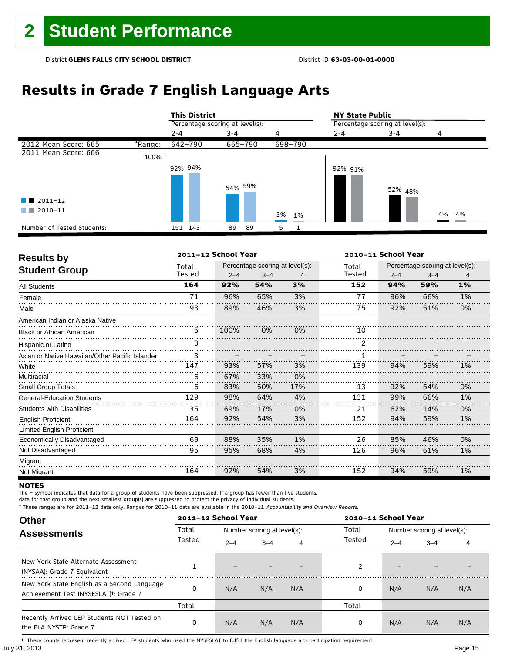# **Results in Grade 7 English Language Arts**

|                            |         | <b>This District</b>            |                    |         | <b>NY State Public</b>          |                    |       |  |
|----------------------------|---------|---------------------------------|--------------------|---------|---------------------------------|--------------------|-------|--|
|                            |         | Percentage scoring at level(s): |                    |         | Percentage scoring at level(s): |                    |       |  |
|                            |         | $2 - 4$                         | $3 - 4$            |         | $2 - 4$                         | $3 - 4$            | 4     |  |
| 2012 Mean Score: 665       | *Range: | 642-790                         | 665-790            | 698-790 |                                 |                    |       |  |
| 2011 Mean Score: 666       | 100%    |                                 |                    |         |                                 |                    |       |  |
|                            |         | 92% 94%                         |                    |         | 92% 91%                         |                    |       |  |
|                            |         |                                 | 54% <sup>59%</sup> |         |                                 | 52% <sub>48%</sub> |       |  |
| $\blacksquare$ 2011-12     |         |                                 |                    |         |                                 |                    |       |  |
| 2010-11<br>a katika        |         |                                 |                    | 3% 1%   |                                 |                    | 4% 4% |  |
| Number of Tested Students: |         | 151 143                         | 89<br>89           | 5       |                                 |                    |       |  |

| <b>Results by</b>                               |        | 2011-12 School Year |                                 |     |        |                                 |         | 2010-11 School Year |  |  |  |
|-------------------------------------------------|--------|---------------------|---------------------------------|-----|--------|---------------------------------|---------|---------------------|--|--|--|
| <b>Student Group</b>                            | Total  |                     | Percentage scoring at level(s): |     | Total  | Percentage scoring at level(s): |         |                     |  |  |  |
|                                                 | Tested | $2 - 4$             | $3 - 4$                         | 4   | Tested | $2 - 4$                         | $3 - 4$ | 4                   |  |  |  |
| <b>All Students</b>                             | 164    | 92%                 | 54%                             | 3%  | 152    | 94%                             | 59%     | 1%                  |  |  |  |
| Female                                          | 71     | 96%                 | 65%                             | 3%  | 77     | 96%                             | 66%     | 1%                  |  |  |  |
| Male                                            | 93     | 89%                 | 46%                             | 3%  | 75     | 92%                             | 51%     | 0%                  |  |  |  |
| American Indian or Alaska Native                |        |                     |                                 |     |        |                                 |         |                     |  |  |  |
| <b>Black or African American</b>                | 5      | 100%                | 0%                              | 0%  | 10     |                                 |         |                     |  |  |  |
| Hispanic or Latino                              | 3      |                     |                                 |     |        |                                 |         |                     |  |  |  |
| Asian or Native Hawaiian/Other Pacific Islander | 3      |                     |                                 |     |        |                                 |         |                     |  |  |  |
| White                                           | 147    | 93%                 | 57%                             | 3%  | 139    | 94%                             | 59%     | 1%                  |  |  |  |
| Multiracial                                     | 6      | 67%                 | 33%                             | 0%  |        |                                 |         |                     |  |  |  |
| <b>Small Group Totals</b>                       | 6      | 83%                 | 50%                             | 17% | 13     | 92%                             | 54%     | 0%                  |  |  |  |
| <b>General-Education Students</b>               | 129    | 98%                 | 64%                             | 4%  | 131    | 99%                             | 66%     | 1%                  |  |  |  |
| <b>Students with Disabilities</b>               | 35     | 69%                 | 17%                             | 0%  | 21     | 62%                             | 14%     | 0%                  |  |  |  |
| <b>English Proficient</b>                       | 164    | 92%                 | 54%                             | 3%  | 152    | 94%                             | 59%     | 1%                  |  |  |  |
| <b>Limited English Proficient</b>               |        |                     |                                 |     |        |                                 |         |                     |  |  |  |
| Economically Disadvantaged                      | 69     | 88%                 | 35%                             | 1%  | 26     | 85%                             | 46%     | 0%                  |  |  |  |
| Not Disadvantaged                               | 95     | 95%                 | 68%                             | 4%  | 126    | 96%                             | 61%     | 1%                  |  |  |  |
| Migrant                                         |        |                     |                                 |     |        |                                 |         |                     |  |  |  |
| Not Migrant                                     | 164    | 92%                 | 54%                             | 3%  | 152    | 94%                             | 59%     | 1%                  |  |  |  |

#### **NOTES**

The – symbol indicates that data for a group of students have been suppressed. If a group has fewer than five students,

data for that group and the next smallest group(s) are suppressed to protect the privacy of individual students.

\* These ranges are for 2011–12 data only. Ranges for 2010–11 data are available in the 2010–11 Accountability and Overview Reports.

| <b>Other</b>                                                                                      |        | 2011-12 School Year |                             |     |        | 2010-11 School Year         |         |     |  |
|---------------------------------------------------------------------------------------------------|--------|---------------------|-----------------------------|-----|--------|-----------------------------|---------|-----|--|
| <b>Assessments</b>                                                                                | Total  |                     | Number scoring at level(s): |     | Total  | Number scoring at level(s): |         |     |  |
|                                                                                                   | Tested | $2 - 4$             | $3 - 4$                     | 4   | Tested | $2 - 4$                     | $3 - 4$ | 4   |  |
| New York State Alternate Assessment<br>(NYSAA): Grade 7 Equivalent                                |        |                     |                             |     |        | -                           |         |     |  |
| New York State English as a Second Language<br>Achievement Test (NYSESLAT) <sup>+</sup> : Grade 7 |        | N/A                 | N/A                         | N/A | 0      | N/A                         | N/A     | N/A |  |
|                                                                                                   | Total  |                     |                             |     | Total  |                             |         |     |  |
| Recently Arrived LEP Students NOT Tested on<br>the ELA NYSTP: Grade 7                             |        | N/A                 | N/A                         | N/A | 0      | N/A                         | N/A     | N/A |  |

July 31, 2013 Page 15 † These counts represent recently arrived LEP students who used the NYSESLAT to fulfill the English language arts participation requirement.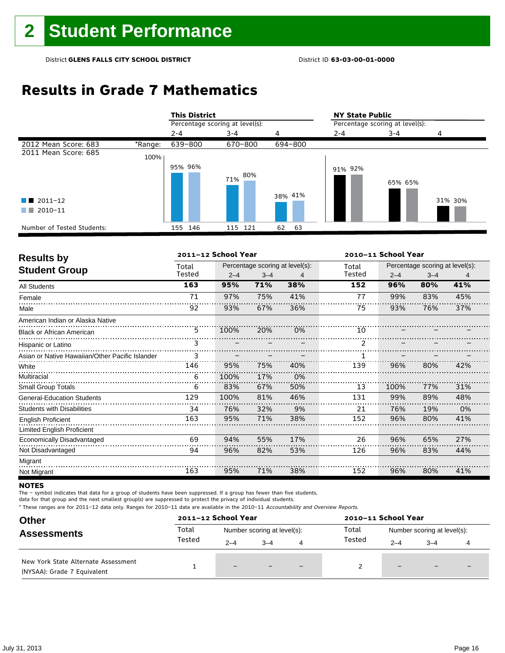## **Results in Grade 7 Mathematics**

|                                             |         | <b>This District</b>            |            |          | <b>NY State Public</b><br>Percentage scoring at level(s): |         |         |  |
|---------------------------------------------|---------|---------------------------------|------------|----------|-----------------------------------------------------------|---------|---------|--|
|                                             |         | Percentage scoring at level(s): |            |          |                                                           |         |         |  |
|                                             |         | $2 - 4$                         | $3 - 4$    | 4        | $2 - 4$                                                   | $3 - 4$ | 4       |  |
| 2012 Mean Score: 683                        | *Range: | 639-800                         | 670-800    | 694-800  |                                                           |         |         |  |
| 2011 Mean Score: 685                        | 100%    |                                 |            |          |                                                           |         |         |  |
| $\blacksquare$ 2011-12<br>2010-11<br>a sa T |         | 95% 96%                         | 80%<br>71% | 38% 41%  | 91% 92%                                                   | 65% 65% | 31% 30% |  |
| Number of Tested Students:                  |         | 155<br>146                      | 115<br>121 | 62<br>63 |                                                           |         |         |  |

| <b>Results by</b>                               |        | 2011-12 School Year |         |                                 | 2010-11 School Year |                                 |         |     |  |
|-------------------------------------------------|--------|---------------------|---------|---------------------------------|---------------------|---------------------------------|---------|-----|--|
|                                                 | Total  |                     |         | Percentage scoring at level(s): | Total               | Percentage scoring at level(s): |         |     |  |
| <b>Student Group</b>                            | Tested | $2 - 4$             | $3 - 4$ | 4                               | Tested              | $2 - 4$                         | $3 - 4$ | 4   |  |
| <b>All Students</b>                             | 163    | 95%                 | 71%     | 38%                             | 152                 | 96%                             | 80%     | 41% |  |
| Female                                          | 71     | 97%                 | 75%     | 41%                             | 77                  | 99%                             | 83%     | 45% |  |
| Male                                            | 92     | 93%                 | 67%     | 36%                             | 75                  | 93%                             | 76%     | 37% |  |
| American Indian or Alaska Native                |        |                     |         |                                 |                     |                                 |         |     |  |
| <b>Black or African American</b>                | 5      | 100%                | 20%     | 0%                              | 10                  |                                 |         |     |  |
| Hispanic or Latino                              | 3      |                     |         |                                 | $\mathcal{P}$       |                                 |         |     |  |
| Asian or Native Hawaiian/Other Pacific Islander | 3      |                     |         |                                 |                     |                                 |         |     |  |
| White                                           | 146    | 95%                 | 75%     | 40%                             | 139                 | 96%                             | 80%     | 42% |  |
| Multiracial                                     | 6      | 100%                | 17%     | 0%                              |                     |                                 |         |     |  |
| <b>Small Group Totals</b>                       | 6      | 83%                 | 67%     | 50%                             | 13                  | 100%                            | 77%     | 31% |  |
| <b>General-Education Students</b>               | 129    | 100%                | 81%     | 46%                             | 131                 | 99%                             | 89%     | 48% |  |
| <b>Students with Disabilities</b>               | 34     | 76%                 | 32%     | 9%                              | 21                  | 76%                             | 19%     | 0%  |  |
| <b>English Proficient</b>                       | 163    | 95%                 | 71%     | 38%                             | 152                 | 96%                             | 80%     | 41% |  |
| <b>Limited English Proficient</b>               |        |                     |         |                                 |                     |                                 |         |     |  |
| Economically Disadvantaged                      | 69     | 94%                 | 55%     | 17%                             | 26                  | 96%                             | 65%     | 27% |  |
| Not Disadvantaged                               | 94     | 96%                 | 82%     | 53%                             | 126                 | 96%                             | 83%     | 44% |  |
| Migrant                                         |        |                     |         |                                 |                     |                                 |         |     |  |
| Not Migrant                                     | 163    | 95%                 | 71%     | 38%                             | 152                 | 96%                             | 80%     | 41% |  |

#### **NOTES**

The – symbol indicates that data for a group of students have been suppressed. If a group has fewer than five students,

data for that group and the next smallest group(s) are suppressed to protect the privacy of individual students.

| <b>Other</b><br><b>Assessments</b>                                 | 2011-12 School Year |                             |         |     | 2010-11 School Year |                             |                          |  |
|--------------------------------------------------------------------|---------------------|-----------------------------|---------|-----|---------------------|-----------------------------|--------------------------|--|
|                                                                    | Total               | Number scoring at level(s): |         |     | Total               | Number scoring at level(s): |                          |  |
|                                                                    | Tested              | $2 - 4$                     | $3 - 4$ | 4   | Tested              | $2 - 4$                     | $3 - 4$                  |  |
| New York State Alternate Assessment<br>(NYSAA): Grade 7 Equivalent |                     | $\qquad \qquad -$           |         | $-$ |                     | $\qquad \qquad -$           | $\overline{\phantom{0}}$ |  |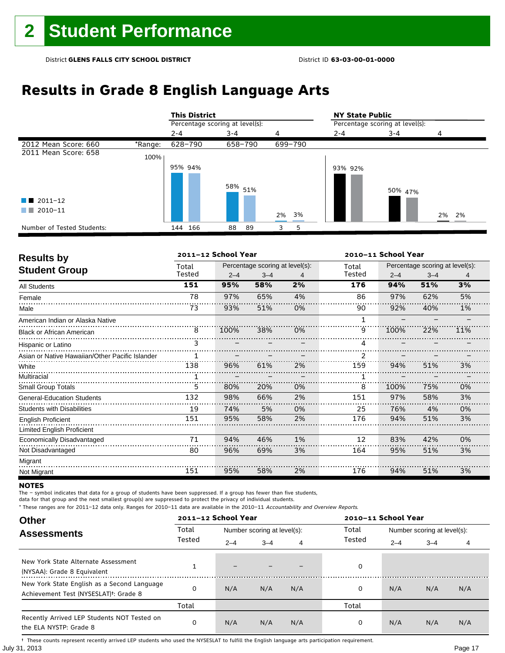# **Results in Grade 8 English Language Arts**

|                            |         | <b>This District</b>            |              |         | <b>NY State Public</b>          |         |       |  |
|----------------------------|---------|---------------------------------|--------------|---------|---------------------------------|---------|-------|--|
|                            |         | Percentage scoring at level(s): |              |         | Percentage scoring at level(s): |         |       |  |
|                            |         | $2 - 4$                         | $3 - 4$<br>4 |         | $2 - 4$                         | $3 - 4$ | 4     |  |
| 2012 Mean Score: 660       | *Range: | 628-790                         | 658-790      | 699-790 |                                 |         |       |  |
| 2011 Mean Score: 658       | 100%    |                                 |              |         |                                 |         |       |  |
|                            |         | 95% 94%                         |              |         | 93% 92%                         |         |       |  |
|                            |         |                                 | 58% 51%      |         |                                 | 50% 47% |       |  |
| $\blacksquare$ 2011-12     |         |                                 |              |         |                                 |         |       |  |
| 2010-11<br>a sa T          |         |                                 |              | 2% 3%   |                                 |         | 2% 2% |  |
| Number of Tested Students: |         | 144<br>166                      | 88<br>89     | 5<br>3  |                                 |         |       |  |

| <b>Results by</b>                               |        | 2011-12 School Year |                                 |    | 2010-11 School Year |         |                                 |     |
|-------------------------------------------------|--------|---------------------|---------------------------------|----|---------------------|---------|---------------------------------|-----|
| <b>Student Group</b>                            | Total  |                     | Percentage scoring at level(s): |    | Total               |         | Percentage scoring at level(s): |     |
|                                                 | Tested | $2 - 4$             | $3 - 4$                         | 4  | Tested              | $2 - 4$ | $3 - 4$                         | 4   |
| <b>All Students</b>                             | 151    | 95%                 | 58%                             | 2% | 176                 | 94%     | 51%                             | 3%  |
| Female                                          | 78     | 97%                 | 65%                             | 4% | 86                  | 97%     | 62%                             | 5%  |
| Male                                            | 73     | 93%                 | 51%                             | 0% | 90                  | 92%     | 40%                             | 1%  |
| American Indian or Alaska Native                |        |                     |                                 |    | 1                   |         |                                 |     |
| <b>Black or African American</b>                | 8      | 100%                | 38%                             | 0% | 9                   | 100%    | 22%                             | 11% |
| Hispanic or Latino                              | 3      |                     |                                 |    | 4                   |         |                                 |     |
| Asian or Native Hawaiian/Other Pacific Islander |        |                     |                                 |    |                     |         |                                 |     |
| White                                           | 138    | 96%                 | 61%                             | 2% | 159                 | 94%     | 51%                             | 3%  |
| Multiracial                                     |        |                     |                                 |    |                     |         |                                 |     |
| <b>Small Group Totals</b>                       | 5      | 80%                 | 20%                             | 0% | 8                   | 100%    | 75%                             | 0%  |
| <b>General-Education Students</b>               | 132    | 98%                 | 66%                             | 2% | 151                 | 97%     | 58%                             | 3%  |
| <b>Students with Disabilities</b>               | 19     | 74%                 | 5%                              | 0% | 25                  | 76%     | 4%                              | 0%  |
| <b>English Proficient</b>                       | 151    | 95%                 | 58%                             | 2% | 176                 | 94%     | 51%                             | 3%  |
| Limited English Proficient                      |        |                     |                                 |    |                     |         |                                 |     |
| Economically Disadvantaged                      | 71     | 94%                 | 46%                             | 1% | 12                  | 83%     | 42%                             | 0%  |
| Not Disadvantaged                               | 80     | 96%                 | 69%                             | 3% | 164                 | 95%     | 51%                             | 3%  |
| Migrant                                         |        |                     |                                 |    |                     |         |                                 |     |
| Not Migrant                                     | 151    | 95%                 | 58%                             | 2% | 176                 | 94%     | 51%                             | 3%  |

#### **NOTES**

The – symbol indicates that data for a group of students have been suppressed. If a group has fewer than five students,

data for that group and the next smallest group(s) are suppressed to protect the privacy of individual students.

\* These ranges are for 2011–12 data only. Ranges for 2010–11 data are available in the 2010–11 Accountability and Overview Reports.

| <b>Other</b>                                                                                      |        | 2011-12 School Year |                             |     | 2010-11 School Year |                             |         |     |  |
|---------------------------------------------------------------------------------------------------|--------|---------------------|-----------------------------|-----|---------------------|-----------------------------|---------|-----|--|
| <b>Assessments</b>                                                                                | Total  |                     | Number scoring at level(s): |     |                     | Number scoring at level(s): |         |     |  |
|                                                                                                   | Tested | $2 - 4$             | $3 - 4$                     | 4   | Tested              | $2 - 4$                     | $3 - 4$ | 4   |  |
| New York State Alternate Assessment<br>(NYSAA): Grade 8 Equivalent                                |        |                     |                             |     | 0                   |                             |         |     |  |
| New York State English as a Second Language<br>Achievement Test (NYSESLAT) <sup>+</sup> : Grade 8 | O      | N/A                 | N/A                         | N/A | 0                   | N/A                         | N/A     | N/A |  |
|                                                                                                   | Total  |                     |                             |     | Total               |                             |         |     |  |
| Recently Arrived LEP Students NOT Tested on<br>the ELA NYSTP: Grade 8                             | 0      | N/A                 | N/A                         | N/A | 0                   | N/A                         | N/A     | N/A |  |

July 31, 2013 Page 17 † These counts represent recently arrived LEP students who used the NYSESLAT to fulfill the English language arts participation requirement.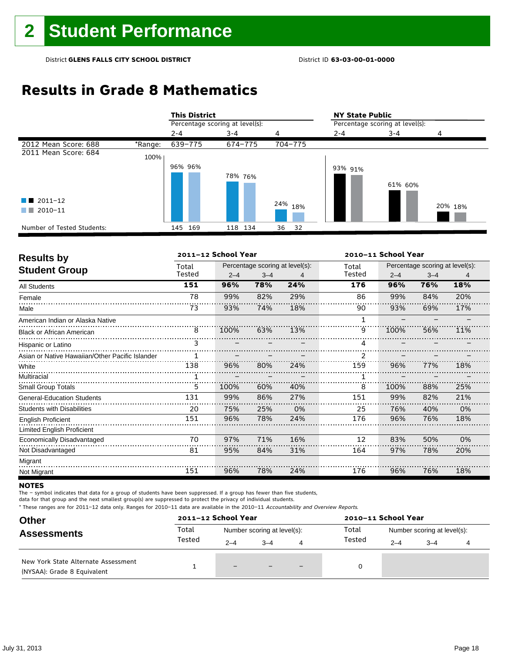## **Results in Grade 8 Mathematics**

|                            |         | <b>This District</b> |                                 |                    | <b>NY State Public</b> |                                 |         |  |  |
|----------------------------|---------|----------------------|---------------------------------|--------------------|------------------------|---------------------------------|---------|--|--|
|                            |         |                      | Percentage scoring at level(s): |                    |                        | Percentage scoring at level(s): |         |  |  |
|                            |         | $2 - 4$              | $3 - 4$                         | 4                  | $2 - 4$                | $3 - 4$                         | 4       |  |  |
| 2012 Mean Score: 688       | *Range: | 639-775              | 674-775                         | 704-775            |                        |                                 |         |  |  |
| 2011 Mean Score: 684       | 100%    |                      |                                 |                    |                        |                                 |         |  |  |
|                            |         | 96% 96%              |                                 |                    | 93% 91%                |                                 |         |  |  |
|                            |         |                      | 78% 76%                         |                    |                        | 61% 60%                         |         |  |  |
| $\blacksquare$ 2011-12     |         |                      |                                 |                    |                        |                                 |         |  |  |
| 2010-11<br>a sa T          |         |                      |                                 | <sup>24%</sup> 18% |                        |                                 | 20% 18% |  |  |
| Number of Tested Students: |         | 145 169              | 118 134                         | 36<br>-32          |                        |                                 |         |  |  |

| <b>Results by</b>                               |        | 2011-12 School Year |         |                                 | 2010-11 School Year |         |                                 |     |
|-------------------------------------------------|--------|---------------------|---------|---------------------------------|---------------------|---------|---------------------------------|-----|
| <b>Student Group</b>                            | Total  |                     |         | Percentage scoring at level(s): | Total               |         | Percentage scoring at level(s): |     |
|                                                 | Tested | $2 - 4$             | $3 - 4$ | 4                               | Tested              | $2 - 4$ | $3 - 4$                         | 4   |
| <b>All Students</b>                             | 151    | 96%                 | 78%     | 24%                             | 176                 | 96%     | 76%                             | 18% |
| Female                                          | 78     | 99%                 | 82%     | 29%                             | 86                  | 99%     | 84%                             | 20% |
| Male                                            | 73     | 93%                 | 74%     | 18%                             | 90                  | 93%     | 69%                             | 17% |
| American Indian or Alaska Native                |        |                     |         |                                 | 1                   |         |                                 |     |
| <b>Black or African American</b>                | 8      | 100%                | 63%     | 13%                             | 9                   | 100%    | 56%                             | 11% |
| Hispanic or Latino                              | 3      |                     |         |                                 | 4                   |         |                                 |     |
| Asian or Native Hawaiian/Other Pacific Islander |        |                     |         |                                 | $\overline{2}$      |         |                                 |     |
| White                                           | 138    | 96%                 | 80%     | 24%                             | 159                 | 96%     | 77%                             | 18% |
| Multiracial                                     |        |                     |         |                                 |                     |         |                                 |     |
| <b>Small Group Totals</b>                       | 5      | 100%                | 60%     | 40%                             | 8                   | 100%    | 88%                             | 25% |
| <b>General-Education Students</b>               | 131    | 99%                 | 86%     | 27%                             | 151                 | 99%     | 82%                             | 21% |
| <b>Students with Disabilities</b>               | 20     | 75%                 | 25%     | 0%                              | 25                  | 76%     | 40%                             | 0%  |
| <b>English Proficient</b>                       | 151    | 96%                 | 78%     | 24%                             | 176                 | 96%     | 76%                             | 18% |
| <b>Limited English Proficient</b>               |        |                     |         |                                 |                     |         |                                 |     |
| Economically Disadvantaged                      | 70     | 97%                 | 71%     | 16%                             | 12                  | 83%     | 50%                             | 0%  |
| Not Disadvantaged                               | 81     | 95%                 | 84%     | 31%                             | 164                 | 97%     | 78%                             | 20% |
| Migrant                                         |        |                     |         |                                 |                     |         |                                 |     |
| Not Migrant                                     | 151    | 96%                 | 78%     | 24%                             | 176                 | 96%     | 76%                             | 18% |

#### **NOTES**

The – symbol indicates that data for a group of students have been suppressed. If a group has fewer than five students,

data for that group and the next smallest group(s) are suppressed to protect the privacy of individual students.

| <b>Other</b>                                                       |        | 2011-12 School Year         |         |  | 2010-11 School Year |                             |         |  |
|--------------------------------------------------------------------|--------|-----------------------------|---------|--|---------------------|-----------------------------|---------|--|
| <b>Assessments</b>                                                 | Total  | Number scoring at level(s): |         |  | Total               | Number scoring at level(s): |         |  |
|                                                                    | Tested | $2 - 4$                     | $3 - 4$ |  | Tested              | $2 - 4$                     | $3 - 4$ |  |
| New York State Alternate Assessment<br>(NYSAA): Grade 8 Equivalent |        | $\qquad \qquad -$           |         |  | 0                   |                             |         |  |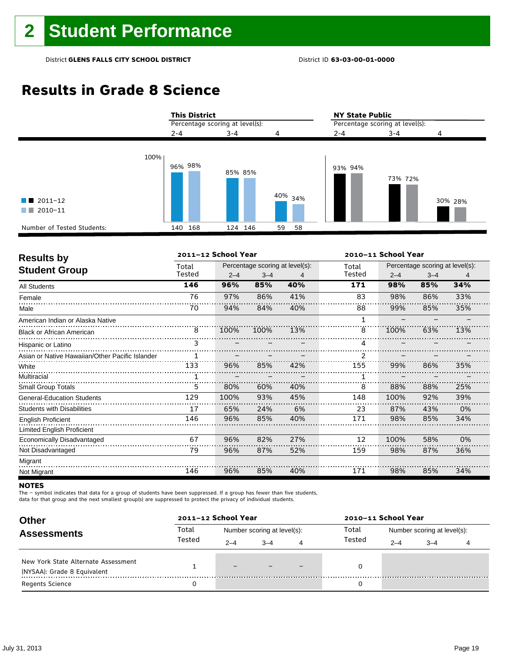## **Results in Grade 8 Science**

|                                                   | <b>This District</b><br>Percentage scoring at level(s): |         |          | <b>NY State Public</b><br>Percentage scoring at level(s): |                    |  |  |
|---------------------------------------------------|---------------------------------------------------------|---------|----------|-----------------------------------------------------------|--------------------|--|--|
|                                                   | $2 - 4$                                                 | $3 - 4$ | 4        | $2 - 4$                                                   | $3 - 4$<br>4       |  |  |
| 100%<br>$\blacksquare$ 2011-12<br>2010-11<br>a na | 96% 98%                                                 | 85% 85% | 40% 34%  | 93% 94%                                                   | 73% 72%<br>30% 28% |  |  |
| Number of Tested Students:                        | 140 168                                                 | 124 146 | 58<br>59 |                                                           |                    |  |  |

| <b>Results by</b>                               |        | 2011-12 School Year |                                 |     | 2010-11 School Year |         |                                 |     |  |
|-------------------------------------------------|--------|---------------------|---------------------------------|-----|---------------------|---------|---------------------------------|-----|--|
| <b>Student Group</b>                            | Total  |                     | Percentage scoring at level(s): |     | Total               |         | Percentage scoring at level(s): |     |  |
|                                                 | Tested | $2 - 4$             | $3 - 4$                         | 4   | Tested              | $2 - 4$ | $3 - 4$                         | 4   |  |
| All Students                                    | 146    | 96%                 | 85%                             | 40% | 171                 | 98%     | 85%                             | 34% |  |
| Female                                          | 76     | 97%                 | 86%                             | 41% | 83                  | 98%     | 86%                             | 33% |  |
| Male                                            | 70     | 94%                 | 84%                             | 40% | 88                  | 99%     | 85%                             | 35% |  |
| American Indian or Alaska Native                |        |                     |                                 |     | 1                   |         |                                 |     |  |
| <b>Black or African American</b>                | 8      | 100%                | 100%                            | 13% | 8                   | 100%    | 63%                             | 13% |  |
| Hispanic or Latino                              | 3      |                     |                                 |     | 4                   |         |                                 |     |  |
| Asian or Native Hawaiian/Other Pacific Islander |        |                     |                                 |     |                     |         |                                 |     |  |
| White                                           | 133    | 96%                 | 85%                             | 42% | 155                 | 99%     | 86%                             | 35% |  |
| Multiracial                                     |        |                     |                                 |     |                     |         |                                 |     |  |
| Small Group Totals                              | 5      | 80%                 | 60%                             | 40% | 8                   | 88%     | 88%                             | 25% |  |
| <b>General-Education Students</b>               | 129    | 100%                | 93%                             | 45% | 148                 | 100%    | 92%                             | 39% |  |
| <b>Students with Disabilities</b>               | 17     | 65%                 | 24%                             | 6%  | 23                  | 87%     | 43%                             | 0%  |  |
| <b>English Proficient</b>                       | 146    | 96%                 | 85%                             | 40% | 171                 | 98%     | 85%                             | 34% |  |
| Limited English Proficient                      |        |                     |                                 |     |                     |         |                                 |     |  |
| Economically Disadvantaged                      | 67     | 96%                 | 82%                             | 27% | 12                  | 100%    | 58%                             | 0%  |  |
| Not Disadvantaged                               | 79     | 96%                 | 87%                             | 52% | 159                 | 98%     | 87%                             | 36% |  |
| Migrant                                         |        |                     |                                 |     |                     |         |                                 |     |  |
| Not Migrant                                     | 146    | 96%                 | 85%                             | 40% | 171                 | 98%     | 85%                             | 34% |  |

#### **NOTES**

The – symbol indicates that data for a group of students have been suppressed. If a group has fewer than five students,

data for that group and the next smallest group(s) are suppressed to protect the privacy of individual students.

| <b>Other</b>                        |        | 2011-12 School Year |                             |   | 2010-11 School Year |                             |         |  |  |
|-------------------------------------|--------|---------------------|-----------------------------|---|---------------------|-----------------------------|---------|--|--|
| <b>Assessments</b>                  | Total  |                     | Number scoring at level(s): |   | Total               | Number scoring at level(s): |         |  |  |
|                                     | Tested | $2 - 4$             | $-4$                        | 4 | Tested              | $2 - 4$                     | $3 - 4$ |  |  |
| New York State Alternate Assessment |        |                     |                             |   |                     |                             |         |  |  |
| (NYSAA): Grade 8 Equivalent         |        | -                   |                             |   |                     |                             |         |  |  |
| <b>Regents Science</b>              |        |                     |                             |   |                     |                             |         |  |  |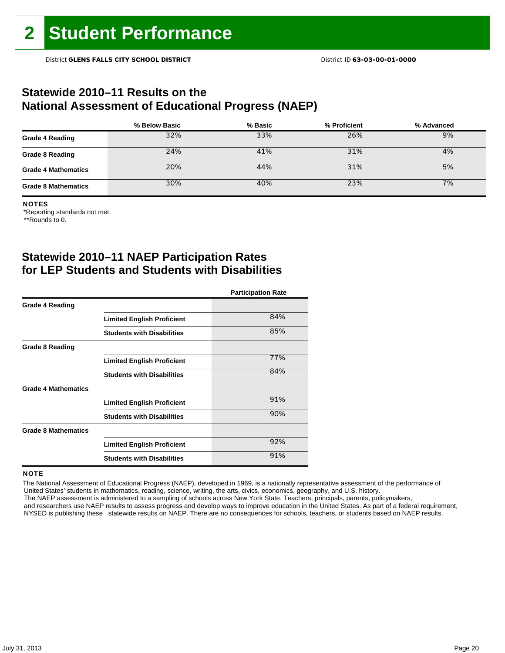### **Statewide 2010–11 Results on the National Assessment of Educational Progress (NAEP)**

|                            | % Below Basic | % Basic | % Proficient | % Advanced |
|----------------------------|---------------|---------|--------------|------------|
| <b>Grade 4 Reading</b>     | 32%           | 33%     | 26%          | 9%         |
| <b>Grade 8 Reading</b>     | 24%           | 41%     | 31%          | 4%         |
| <b>Grade 4 Mathematics</b> | 20%           | 44%     | 31%          | 5%         |
| <b>Grade 8 Mathematics</b> | 30%           | 40%     | 23%          | 7%         |

#### NOTES

\*Reporting standards not met.

\*\*Rounds to 0.

## **Statewide 2010–11 NAEP Participation Rates for LEP Students and Students with Disabilities**

|                            |                                   | <b>Participation Rate</b> |
|----------------------------|-----------------------------------|---------------------------|
| <b>Grade 4 Reading</b>     |                                   |                           |
|                            | <b>Limited English Proficient</b> | 84%                       |
|                            | <b>Students with Disabilities</b> | 85%                       |
| <b>Grade 8 Reading</b>     |                                   |                           |
|                            | <b>Limited English Proficient</b> | 77%                       |
|                            | <b>Students with Disabilities</b> | 84%                       |
| <b>Grade 4 Mathematics</b> |                                   |                           |
|                            | <b>Limited English Proficient</b> | 91%                       |
|                            | <b>Students with Disabilities</b> | 90%                       |
| <b>Grade 8 Mathematics</b> |                                   |                           |
|                            | <b>Limited English Proficient</b> | 92%                       |
|                            | <b>Students with Disabilities</b> | 91%                       |

#### **NOTE**

 The National Assessment of Educational Progress (NAEP), developed in 1969, is a nationally representative assessment of the performance of United States' students in mathematics, reading, science, writing, the arts, civics, economics, geography, and U.S. history. The NAEP assessment is administered to a sampling of schools across New York State. Teachers, principals, parents, policymakers,

 and researchers use NAEP results to assess progress and develop ways to improve education in the United States. As part of a federal requirement, NYSED is publishing these statewide results on NAEP. There are no consequences for schools, teachers, or students based on NAEP results.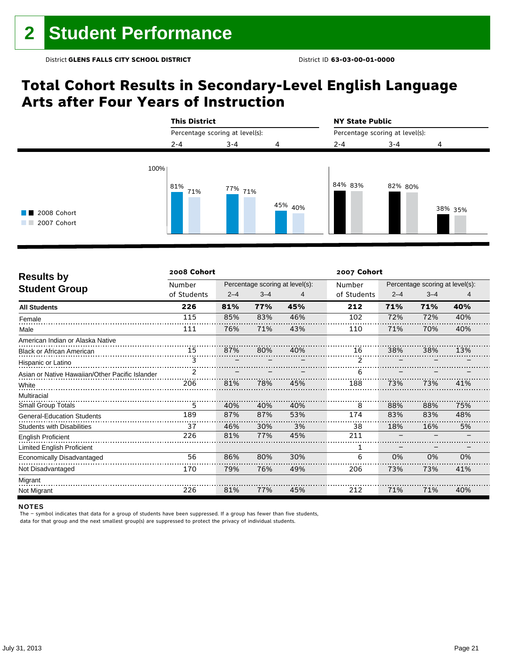## **Total Cohort Results in Secondary-Level English Language Arts after Four Years of Instruction**



| <b>Results by</b>                               | 2008 Cohort |         |         |                                 | 2007 Cohort |                                 |         |     |  |
|-------------------------------------------------|-------------|---------|---------|---------------------------------|-------------|---------------------------------|---------|-----|--|
|                                                 | Number      |         |         | Percentage scoring at level(s): | Number      | Percentage scoring at level(s): |         |     |  |
| <b>Student Group</b>                            | of Students | $2 - 4$ | $3 - 4$ | 4                               | of Students | $2 - 4$                         | $3 - 4$ | 4   |  |
| <b>All Students</b>                             | 226         | 81%     | 77%     | 45%                             | 212         | 71%                             | 71%     | 40% |  |
| Female                                          | 115         | 85%     | 83%     | 46%                             | 102         | 72%                             | 72%     | 40% |  |
| Male                                            | 111         | 76%     | 71%     | 43%                             | 110         | 71%                             | 70%     | 40% |  |
| American Indian or Alaska Native                |             |         |         |                                 |             |                                 |         |     |  |
| <b>Black or African American</b>                | 15          | 87%     | 80%     | 40%                             | 16          | 38%                             | 38%     | 13% |  |
| Hispanic or Latino                              | 3           |         |         |                                 | 2           |                                 |         |     |  |
| Asian or Native Hawaiian/Other Pacific Islander |             |         |         |                                 | 6           |                                 |         |     |  |
| White                                           | 206         | 81%     | 78%     | 45%                             | 188         | 73%                             | 73%     | 41% |  |
| Multiracial                                     |             |         |         |                                 |             |                                 |         |     |  |
| <b>Small Group Totals</b>                       | 5           | 40%     | 40%     | 40%                             | 8           | 88%                             | 88%     | 75% |  |
| <b>General-Education Students</b>               | 189         | 87%     | 87%     | 53%                             | 174         | 83%                             | 83%     | 48% |  |
| <b>Students with Disabilities</b>               | 37          | 46%     | 30%     | 3%                              | 38          | 18%                             | 16%     | 5%  |  |
| <b>English Proficient</b>                       | 226         | 81%     | 77%     | 45%                             | 211         |                                 |         |     |  |
| Limited English Proficient                      |             |         |         |                                 | 1           |                                 |         |     |  |
| Economically Disadvantaged                      | 56          | 86%     | 80%     | 30%                             | 6           | 0%                              | 0%      | 0%  |  |
| Not Disadvantaged                               | 170         | 79%     | 76%     | 49%                             | 206         | 73%                             | 73%     | 41% |  |
| Migrant                                         |             |         |         |                                 |             |                                 |         |     |  |
| Not Migrant                                     | 226         | 81%     | 77%     | 45%                             | 212         | 71%                             | 71%     | 40% |  |

#### NOTES

The – symbol indicates that data for a group of students have been suppressed. If a group has fewer than five students, data for that group and the next smallest group(s) are suppressed to protect the privacy of individual students.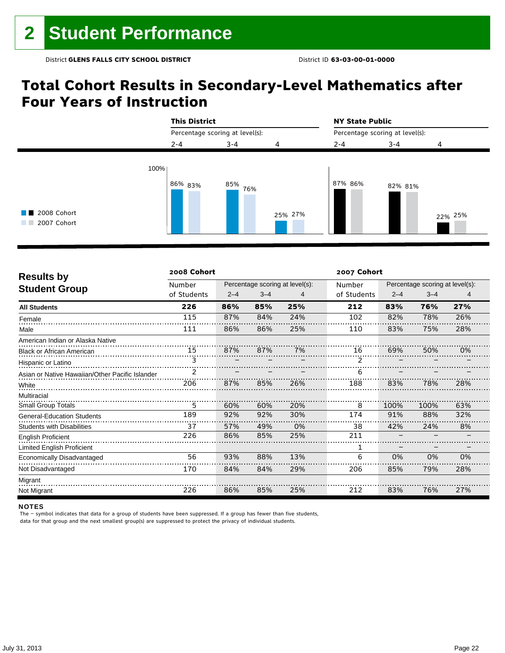## **Total Cohort Results in Secondary-Level Mathematics after Four Years of Instruction**



| <b>Results by</b>                               | 2008 Cohort |         |         |                                 | 2007 Cohort |                                 |         |     |  |
|-------------------------------------------------|-------------|---------|---------|---------------------------------|-------------|---------------------------------|---------|-----|--|
|                                                 | Number      |         |         | Percentage scoring at level(s): | Number      | Percentage scoring at level(s): |         |     |  |
| <b>Student Group</b>                            | of Students | $2 - 4$ | $3 - 4$ | 4                               | of Students | $2 - 4$                         | $3 - 4$ | 4   |  |
| <b>All Students</b>                             | 226         | 86%     | 85%     | 25%                             | 212         | 83%                             | 76%     | 27% |  |
| Female                                          | 115         | 87%     | 84%     | 24%                             | 102         | 82%                             | 78%     | 26% |  |
| Male                                            | 111         | 86%     | 86%     | 25%                             | 110         | 83%                             | 75%     | 28% |  |
| American Indian or Alaska Native                |             |         |         |                                 |             |                                 |         |     |  |
| <b>Black or African American</b>                | 15          | 87%     | 87%     | 7%                              | 16          | 69%                             | 50%     | 0%  |  |
| Hispanic or Latino                              |             |         |         |                                 | 2           |                                 |         |     |  |
| Asian or Native Hawaiian/Other Pacific Islander |             |         |         |                                 | 6           |                                 |         |     |  |
| White                                           | 206         | 87%     | 85%     | 26%                             | 188         | 83%                             | 78%     | 28% |  |
| Multiracial                                     |             |         |         |                                 |             |                                 |         |     |  |
| Small Group Totals                              | 5           | 60%     | 60%     | 20%                             | 8           | 100%                            | 100%    | 63% |  |
| <b>General-Education Students</b>               | 189         | 92%     | 92%     | 30%                             | 174         | 91%                             | 88%     | 32% |  |
| <b>Students with Disabilities</b>               | 37          | 57%     | 49%     | 0%                              | 38          | 42%                             | 24%     | 8%  |  |
| <b>English Proficient</b>                       | 226         | 86%     | 85%     | 25%                             | 211         |                                 |         |     |  |
| Limited English Proficient                      |             |         |         |                                 |             |                                 |         |     |  |
| Economically Disadvantaged                      | 56          | 93%     | 88%     | 13%                             | 6           | 0%                              | 0%      | 0%  |  |
| Not Disadvantaged                               | 170         | 84%     | 84%     | 29%                             | 206         | 85%                             | 79%     | 28% |  |
| Migrant                                         |             |         |         |                                 |             |                                 |         |     |  |
| Not Migrant                                     | 226         | 86%     | 85%     | 25%                             | 212         | 83%                             | 76%     | 27% |  |

#### NOTES

The – symbol indicates that data for a group of students have been suppressed. If a group has fewer than five students, data for that group and the next smallest group(s) are suppressed to protect the privacy of individual students.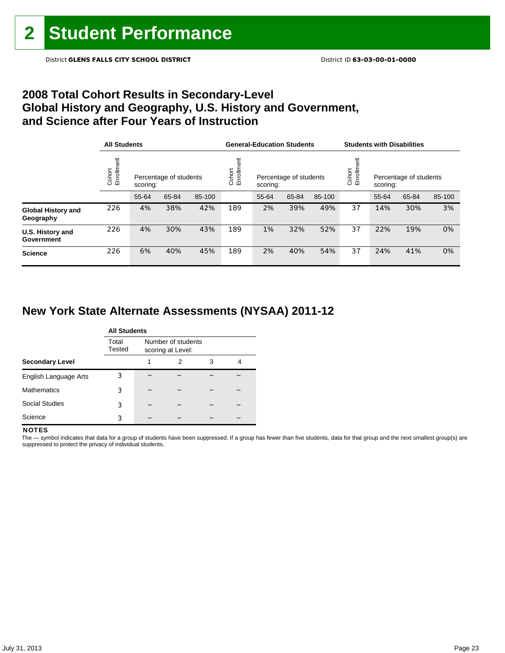## **2008 Total Cohort Results in Secondary-Level Global History and Geography, U.S. History and Government, and Science after Four Years of Instruction**

|                                        | <b>All Students</b>  |          |                        |        |                    | <b>General-Education Students</b>  |       |        | <b>Students with Disabilities</b> |                                    |       |        |
|----------------------------------------|----------------------|----------|------------------------|--------|--------------------|------------------------------------|-------|--------|-----------------------------------|------------------------------------|-------|--------|
|                                        | Cohort<br>Enrollment | scoring: | Percentage of students |        | Enrollme<br>Cohort | Percentage of students<br>scoring: |       |        | Cohort<br>Enrollm                 | Percentage of students<br>scoring: |       |        |
|                                        |                      | 55-64    | 65-84                  | 85-100 |                    | 55-64                              | 65-84 | 85-100 |                                   | 55-64                              | 65-84 | 85-100 |
| <b>Global History and</b><br>Geography | 226                  | 4%       | 38%                    | 42%    | 189                | 2%                                 | 39%   | 49%    | 37                                | 14%                                | 30%   | 3%     |
| U.S. History and<br>Government         | 226                  | 4%       | 30%                    | 43%    | 189                | 1%                                 | 32%   | 52%    | 37                                | 22%                                | 19%   | 0%     |
| <b>Science</b>                         | 226                  | 6%       | 40%                    | 45%    | 189                | 2%                                 | 40%   | 54%    | 37                                | 24%                                | 41%   | 0%     |

## **New York State Alternate Assessments (NYSAA) 2011-12**

|                        | <b>All Students</b> |   |                                         |   |   |  |  |  |  |  |
|------------------------|---------------------|---|-----------------------------------------|---|---|--|--|--|--|--|
|                        | Total<br>Tested     |   | Number of students<br>scoring at Level: |   |   |  |  |  |  |  |
| <b>Secondary Level</b> |                     | 1 | 2                                       | 3 | 4 |  |  |  |  |  |
| English Language Arts  | 3                   |   |                                         |   |   |  |  |  |  |  |
| <b>Mathematics</b>     | 3                   |   |                                         |   |   |  |  |  |  |  |
| <b>Social Studies</b>  | 3                   |   |                                         |   |   |  |  |  |  |  |
| Science                | 3                   |   |                                         |   |   |  |  |  |  |  |

#### **NOTES**

The - symbol indicates that data for a group of students have been suppressed. If a group has fewer than five students, data for that group and the next smallest group(s) are suppressed to protect the privacy of individual students.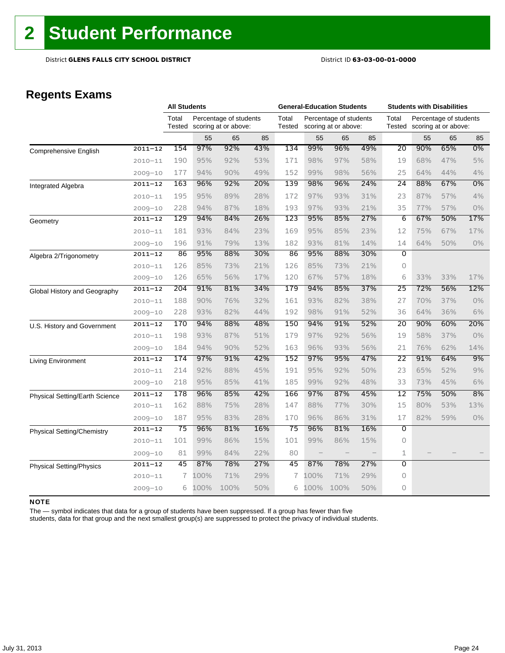## **Regents Exams**

|                                 |             | <b>All Students</b> |      |                                                | <b>General-Education Students</b> |                 |                   |                                                | <b>Students with Disabilities</b> |                 |     |                                                |       |
|---------------------------------|-------------|---------------------|------|------------------------------------------------|-----------------------------------|-----------------|-------------------|------------------------------------------------|-----------------------------------|-----------------|-----|------------------------------------------------|-------|
|                                 |             | Total<br>Tested     |      | Percentage of students<br>scoring at or above: |                                   | Total<br>Tested |                   | Percentage of students<br>scoring at or above: |                                   | Total<br>Tested |     | Percentage of students<br>scoring at or above: |       |
|                                 |             |                     | 55   | 65                                             | 85                                |                 | 55                | 65                                             | 85                                |                 | 55  | 65                                             | 85    |
| Comprehensive English           | $2011 - 12$ | 154                 | 97%  | 92%                                            | 43%                               | 134             | 99%               | 96%                                            | 49%                               | 20              | 90% | 65%                                            | 0%    |
|                                 | $2010 - 11$ | 190                 | 95%  | 92%                                            | 53%                               | 171             | 98%               | 97%                                            | 58%                               | 19              | 68% | 47%                                            | 5%    |
|                                 | $2009 - 10$ | 177                 | 94%  | 90%                                            | 49%                               | 152             | 99%               | 98%                                            | 56%                               | 25              | 64% | 44%                                            | 4%    |
| Integrated Algebra              | $2011 - 12$ | 163                 | 96%  | 92%                                            | 20%                               | 139             | 98%               | 96%                                            | 24%                               | $\overline{24}$ | 88% | 67%                                            | $0\%$ |
|                                 | $2010 - 11$ | 195                 | 95%  | 89%                                            | 28%                               | 172             | 97%               | 93%                                            | 31%                               | 23              | 87% | 57%                                            | 4%    |
|                                 | $2009 - 10$ | 228                 | 94%  | 87%                                            | 18%                               | 193             | 97%               | 93%                                            | 21%                               | 35              | 77% | 57%                                            | $0\%$ |
| Geometry                        | $2011 - 12$ | 129                 | 94%  | 84%                                            | 26%                               | 123             | 95%               | 85%                                            | 27%                               | 6               | 67% | 50%                                            | 17%   |
|                                 | $2010 - 11$ | 181                 | 93%  | 84%                                            | 23%                               | 169             | 95%               | 85%                                            | 23%                               | 12              | 75% | 67%                                            | 17%   |
|                                 | $2009 - 10$ | 196                 | 91%  | 79%                                            | 13%                               | 182             | 93%               | 81%                                            | 14%                               | 14              | 64% | 50%                                            | 0%    |
| Algebra 2/Trigonometry          | $2011 - 12$ | 86                  | 95%  | 88%                                            | 30%                               | 86              | 95%               | 88%                                            | 30%                               | $\overline{0}$  |     |                                                |       |
|                                 | $2010 - 11$ | 126                 | 85%  | 73%                                            | 21%                               | 126             | 85%               | 73%                                            | 21%                               | 0               |     |                                                |       |
|                                 | $2009 - 10$ | 126                 | 65%  | 56%                                            | 17%                               | 120             | 67%               | 57%                                            | 18%                               | 6               | 33% | 33%                                            | 17%   |
| Global History and Geography    | $2011 - 12$ | 204                 | 91%  | 81%                                            | 34%                               | 179             | 94%               | 85%                                            | 37%                               | $\overline{25}$ | 72% | 56%                                            | 12%   |
|                                 | $2010 - 11$ | 188                 | 90%  | 76%                                            | 32%                               | 161             | 93%               | 82%                                            | 38%                               | 27              | 70% | 37%                                            | 0%    |
|                                 | $2009 - 10$ | 228                 | 93%  | 82%                                            | 44%                               | 192             | 98%               | 91%                                            | 52%                               | 36              | 64% | 36%                                            | 6%    |
| U.S. History and Government     | $2011 - 12$ | 170                 | 94%  | 88%                                            | 48%                               | 150             | 94%               | 91%                                            | 52%                               | 20              | 90% | 60%                                            | 20%   |
|                                 | $2010 - 11$ | 198                 | 93%  | 87%                                            | 51%                               | 179             | 97%               | 92%                                            | 56%                               | 19              | 58% | 37%                                            | $0\%$ |
|                                 | $2009 - 10$ | 184                 | 94%  | 90%                                            | 52%                               | 163             | 96%               | 93%                                            | 56%                               | 21              | 76% | 62%                                            | 14%   |
| Living Environment              | $2011 - 12$ | 174                 | 97%  | 91%                                            | 42%                               | 152             | 97%               | 95%                                            | 47%                               | 22              | 91% | 64%                                            | 9%    |
|                                 | $2010 - 11$ | 214                 | 92%  | 88%                                            | 45%                               | 191             | 95%               | 92%                                            | 50%                               | 23              | 65% | 52%                                            | 9%    |
|                                 | $2009 - 10$ | 218                 | 95%  | 85%                                            | 41%                               | 185             | 99%               | 92%                                            | 48%                               | 33              | 73% | 45%                                            | 6%    |
| Physical Setting/Earth Science  | $2011 - 12$ | 178                 | 96%  | 85%                                            | 42%                               | 166             | 97%               | 87%                                            | 45%                               | $\overline{12}$ | 75% | 50%                                            | 8%    |
|                                 | $2010 - 11$ | 162                 | 88%  | 75%                                            | 28%                               | 147             | 88%               | 77%                                            | 30%                               | 15              | 80% | 53%                                            | 13%   |
|                                 | $2009 - 10$ | 187                 | 95%  | 83%                                            | 28%                               | 170             | 96%               | 86%                                            | 31%                               | 17              | 82% | 59%                                            | 0%    |
| Physical Setting/Chemistry      | $2011 - 12$ | 75                  | 96%  | 81%                                            | 16%                               | 75              | 96%               | 81%                                            | 16%                               | $\overline{0}$  |     |                                                |       |
|                                 | $2010 - 11$ | 101                 | 99%  | 86%                                            | 15%                               | 101             | 99%               | 86%                                            | 15%                               | 0               |     |                                                |       |
|                                 | $2009 - 10$ | 81                  | 99%  | 84%                                            | 22%                               | 80              | $\qquad \qquad -$ | $\overline{\phantom{0}}$                       |                                   | 1               |     |                                                |       |
| <b>Physical Setting/Physics</b> | $2011 - 12$ | 45                  | 87%  | 78%                                            | 27%                               | 45              | 87%               | 78%                                            | 27%                               | $\overline{0}$  |     |                                                |       |
|                                 | $2010 - 11$ | 7                   | 100% | 71%                                            | 29%                               | 7               | 100%              | 71%                                            | 29%                               | 0               |     |                                                |       |
|                                 | $2009 - 10$ | 6                   | 100% | 100%                                           | 50%                               | 6               | 100%              | 100%                                           | 50%                               | 0               |     |                                                |       |

#### NOTE

The — symbol indicates that data for a group of students have been suppressed. If a group has fewer than five

students, data for that group and the next smallest group(s) are suppressed to protect the privacy of individual students.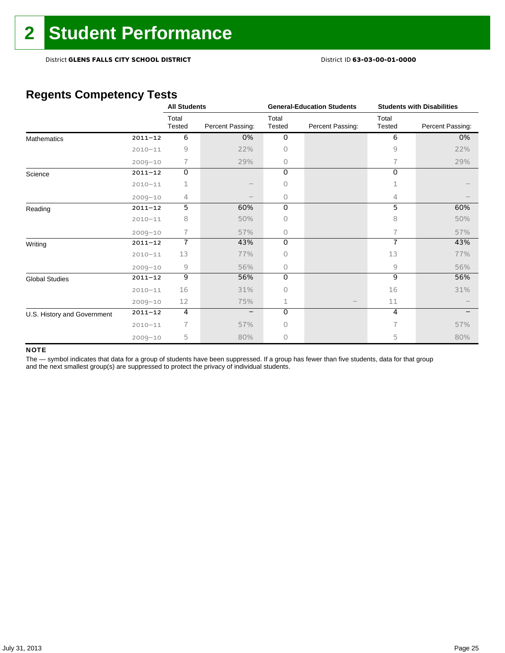## **Regents Competency Tests**

|                             |             | <b>All Students</b> |                  |                 | <b>General-Education Students</b> | <b>Students with Disabilities</b> |                  |  |
|-----------------------------|-------------|---------------------|------------------|-----------------|-----------------------------------|-----------------------------------|------------------|--|
|                             |             | Total<br>Tested     | Percent Passing: | Total<br>Tested | Percent Passing:                  | Total<br>Tested                   | Percent Passing: |  |
| Mathematics                 | $2011 - 12$ | 6                   | 0%               | $\mathbf 0$     |                                   | 6                                 | 0%               |  |
|                             | $2010 - 11$ | 9                   | 22%              | Ω               |                                   | 9                                 | 22%              |  |
|                             | $2009 - 10$ | 7                   | 29%              | 0               |                                   | 7                                 | 29%              |  |
| Science                     | $2011 - 12$ | 0                   |                  | 0               |                                   | 0                                 |                  |  |
|                             | $2010 - 11$ | 1                   |                  | Ω               |                                   |                                   |                  |  |
|                             | $2009 - 10$ | 4                   |                  | 0               |                                   | 4                                 |                  |  |
| Reading                     | $2011 - 12$ | 5                   | 60%              | 0               |                                   | 5                                 | 60%              |  |
|                             | $2010 - 11$ | 8                   | 50%              | 0               |                                   | 8                                 | 50%              |  |
|                             | $2009 - 10$ | 7                   | 57%              | 0               |                                   | 7                                 | 57%              |  |
| Writing                     | $2011 - 12$ | $\overline{1}$      | 43%              | 0               |                                   | $\overline{7}$                    | 43%              |  |
|                             | $2010 - 11$ | 13                  | 77%              | 0               |                                   | 13                                | 77%              |  |
|                             | $2009 - 10$ | 9                   | 56%              | 0               |                                   | $\overline{9}$                    | 56%              |  |
| <b>Global Studies</b>       | $2011 - 12$ | $\overline{9}$      | 56%              | 0               |                                   | 9                                 | 56%              |  |
|                             | $2010 - 11$ | 16                  | 31%              | Ω               |                                   | 16                                | 31%              |  |
|                             | $2009 - 10$ | 12                  | 75%              | 1               |                                   | 11                                |                  |  |
| U.S. History and Government | $2011 - 12$ | 4                   |                  | $\Omega$        |                                   | 4                                 |                  |  |
|                             | $2010 - 11$ | $\overline{1}$      | 57%              | <sup>n</sup>    |                                   | 7                                 | 57%              |  |
|                             | $2009 - 10$ | 5                   | 80%              | 0               |                                   | 5                                 | 80%              |  |

#### NOTE

The - symbol indicates that data for a group of students have been suppressed. If a group has fewer than five students, data for that group and the next smallest group(s) are suppressed to protect the privacy of individual students.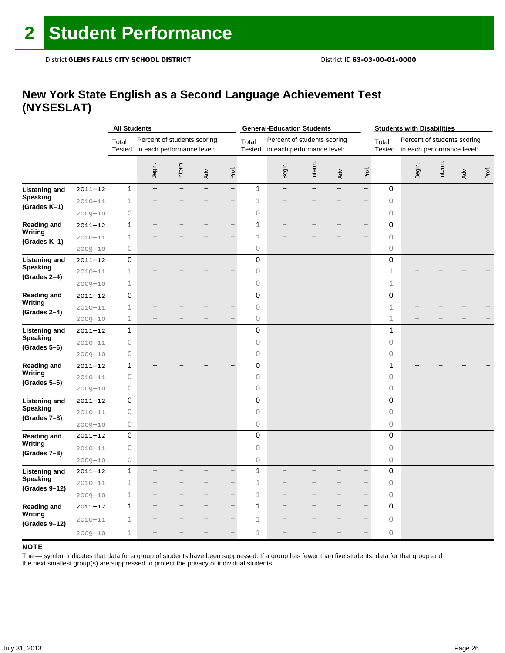## **New York State English as a Second Language Achievement Test (NYSESLAT)**

|                          |             | <b>All Students</b> |                                                                  |         |      | <b>General-Education Students</b> |                 |                                                           |         |      | <b>Students with Disabilities</b> |                     |                                                           |         |      |       |
|--------------------------|-------------|---------------------|------------------------------------------------------------------|---------|------|-----------------------------------|-----------------|-----------------------------------------------------------|---------|------|-----------------------------------|---------------------|-----------------------------------------------------------|---------|------|-------|
|                          |             | Total               | Percent of students scoring<br>Tested in each performance level: |         |      |                                   | Total<br>Tested | Percent of students scoring<br>in each performance level: |         |      |                                   | Total<br>Tested     | Percent of students scoring<br>in each performance level: |         |      |       |
|                          |             |                     | Begin.                                                           | Interm. | Adv. | Prof.                             |                 | Begin.                                                    | Interm. | Adv. | Prof.                             |                     | Begin.                                                    | Interm. | Adv. | Prof. |
| <b>Listening and</b>     | $2011 - 12$ | $\mathbf{1}$        |                                                                  |         |      | $\overline{\phantom{0}}$          | 1               |                                                           |         |      | $\qquad \qquad -$                 | 0                   |                                                           |         |      |       |
| <b>Speaking</b>          | $2010 - 11$ | 1                   |                                                                  |         |      |                                   | $\mathbf 1$     |                                                           |         |      |                                   | 0                   |                                                           |         |      |       |
| (Grades K-1)             | $2009 - 10$ | 0                   |                                                                  |         |      |                                   | 0               |                                                           |         |      |                                   | 0                   |                                                           |         |      |       |
| Reading and              | $2011 - 12$ | 1                   |                                                                  |         |      |                                   | 1               |                                                           |         |      |                                   | 0                   |                                                           |         |      |       |
| Writing                  | $2010 - 11$ | $\mathbf 1$         |                                                                  |         |      |                                   | $\mathbf 1$     |                                                           |         |      |                                   | $\circ$             |                                                           |         |      |       |
| (Grades K-1)             | $2009 - 10$ | 0                   |                                                                  |         |      |                                   | 0               |                                                           |         |      |                                   | $\circ$             |                                                           |         |      |       |
| <b>Listening and</b>     | $2011 - 12$ | $\mathsf{O}\xspace$ |                                                                  |         |      |                                   | $\mathbf 0$     |                                                           |         |      |                                   | $\mathsf{O}\xspace$ |                                                           |         |      |       |
| <b>Speaking</b>          | $2010 - 11$ | 1                   |                                                                  |         |      |                                   | $\circ$         |                                                           |         |      |                                   | 1                   |                                                           |         |      |       |
| (Grades 2-4)             | $2009 - 10$ | $\mathbf 1$         |                                                                  |         |      |                                   | 0               |                                                           |         |      |                                   | $1\,$               |                                                           |         |      |       |
| <b>Reading and</b>       | $2011 - 12$ | 0                   |                                                                  |         |      |                                   | 0               |                                                           |         |      |                                   | 0                   |                                                           |         |      |       |
| Writing                  | $2010 - 11$ | 1                   |                                                                  |         |      |                                   | 0               |                                                           |         |      |                                   | 1                   |                                                           |         |      |       |
| (Grades 2-4)             | $2009 - 10$ | 1                   |                                                                  |         |      |                                   | 0               |                                                           |         |      |                                   | $\mathbf 1$         |                                                           |         |      |       |
| <b>Listening and</b>     | $2011 - 12$ | 1                   |                                                                  |         |      | $\overline{\phantom{0}}$          | 0               |                                                           |         |      |                                   | $\mathbf{1}$        |                                                           |         |      |       |
| <b>Speaking</b>          | $2010 - 11$ | 0                   |                                                                  |         |      |                                   | $\circ$         |                                                           |         |      |                                   | $\circ$             |                                                           |         |      |       |
| $(Grades 5-6)$           | $2009 - 10$ | 0                   |                                                                  |         |      |                                   | 0               |                                                           |         |      |                                   | 0                   |                                                           |         |      |       |
| <b>Reading and</b>       | $2011 - 12$ | 1                   |                                                                  |         |      | -                                 | $\mathsf 0$     |                                                           |         |      |                                   | 1                   |                                                           |         |      |       |
| Writing                  | $2010 - 11$ | 0                   |                                                                  |         |      |                                   | $\circ$         |                                                           |         |      |                                   | 0                   |                                                           |         |      |       |
| (Grades 5–6)             | $2009 - 10$ | 0                   |                                                                  |         |      |                                   | 0               |                                                           |         |      |                                   | 0                   |                                                           |         |      |       |
| <b>Listening and</b>     | $2011 - 12$ | 0                   |                                                                  |         |      |                                   | 0               |                                                           |         |      |                                   | 0                   |                                                           |         |      |       |
| <b>Speaking</b>          | $2010 - 11$ | 0                   |                                                                  |         |      |                                   | $\circ$         |                                                           |         |      |                                   | 0                   |                                                           |         |      |       |
| (Grades 7-8)             | $2009 - 10$ | 0                   |                                                                  |         |      |                                   | 0               |                                                           |         |      |                                   | 0                   |                                                           |         |      |       |
| <b>Reading and</b>       | $2011 - 12$ | 0                   |                                                                  |         |      |                                   | 0               |                                                           |         |      |                                   | 0                   |                                                           |         |      |       |
| Writing                  | $2010 - 11$ | 0                   |                                                                  |         |      |                                   | $\circ$         |                                                           |         |      |                                   | $\circ$             |                                                           |         |      |       |
| (Grades 7-8)             | $2009 - 10$ | 0                   |                                                                  |         |      |                                   | 0               |                                                           |         |      |                                   | 0                   |                                                           |         |      |       |
| <b>Listening and</b>     | $2011 - 12$ | 1                   |                                                                  |         |      | -                                 | 1               |                                                           |         |      |                                   | 0                   |                                                           |         |      |       |
| <b>Speaking</b>          | $2010 - 11$ | 1                   |                                                                  |         |      |                                   | $\mathbf 1$     |                                                           |         |      |                                   | $\circ$             |                                                           |         |      |       |
| (Grades 9-12)            | $2009 - 10$ | $\mathbf 1$         |                                                                  |         |      |                                   | $\mathbf 1$     |                                                           |         |      |                                   | $\circ$             |                                                           |         |      |       |
| <b>Reading and</b>       | $2011 - 12$ | 1                   |                                                                  |         |      | $\overline{\phantom{0}}$          | 1               |                                                           |         |      | $\overline{\phantom{0}}$          | 0                   |                                                           |         |      |       |
| Writing<br>(Grades 9-12) | $2010 - 11$ | 1                   |                                                                  |         |      |                                   | $\mathbf 1$     |                                                           |         |      |                                   | 0                   |                                                           |         |      |       |
|                          | $2009 - 10$ | 1                   |                                                                  |         |      |                                   | 1               |                                                           |         |      |                                   | 0                   |                                                           |         |      |       |

#### **NOTE**

The — symbol indicates that data for a group of students have been suppressed. If a group has fewer than five students, data for that group and the next smallest group(s) are suppressed to protect the privacy of individual students.